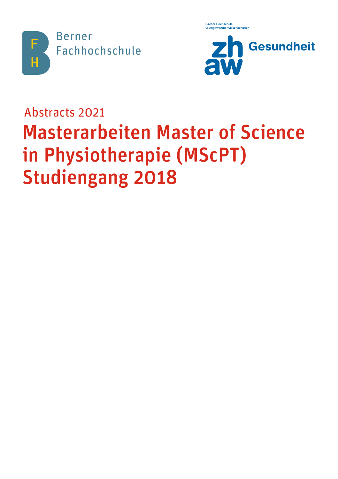



# Abstracts 2021 Masterarbeiten Master of Science in Physiotherapie (MScPT) Studiengang 2018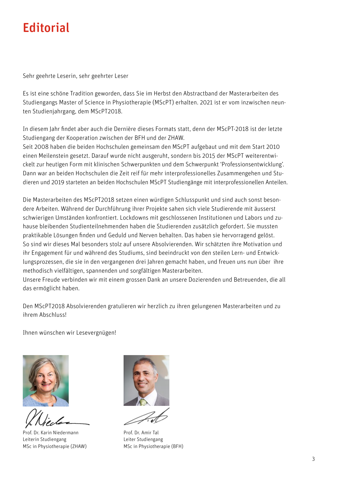# **Editorial**

Sehr geehrte Leserin, sehr geehrter Leser

Es ist eine schöne Tradition geworden, dass Sie im Herbst den Abstractband der Masterarbeiten des Studiengangs Master of Science in Physiotherapie (MScPT) erhalten. 2021 ist er vom inzwischen neunten Studienjahrgang, dem MScPT2018.

In diesem Jahr findet aber auch die Dernière dieses Formats statt, denn der MScPT-2018 ist der letzte Studiengang der Kooperation zwischen der BFH und der ZHAW.

Seit 2008 haben die beiden Hochschulen gemeinsam den MScPT aufgebaut und mit dem Start 2010 einen Meilenstein gesetzt. Darauf wurde nicht ausgeruht, sondern bis 2015 der MScPT weiterentwickelt zur heutigen Form mit klinischen Schwerpunkten und dem Schwerpunkt 'Professionsentwicklung'. Dann war an beiden Hochschulen die Zeit reif für mehr interprofessionelles Zusammengehen und Studieren und 2019 starteten an beiden Hochschulen MScPT Studiengänge mit interprofessionellen Anteilen.

Die Masterarbeiten des MScPT2018 setzen einen würdigen Schlusspunkt und sind auch sonst besondere Arbeiten. Während der Durchführung ihrer Projekte sahen sich viele Studierende mit äusserst schwierigen Umständen konfrontiert. Lockdowns mit geschlossenen Institutionen und Labors und zuhause bleibenden Studienteilnehmenden haben die Studierenden zusätzlich gefordert. Sie mussten praktikable Lösungen finden und Geduld und Nerven behalten. Das haben sie hervorragend gelöst. So sind wir dieses Mal besonders stolz auf unsere Absolvierenden. Wir schätzten ihre Motivation und ihr Engagement für und während des Studiums, sind beeindruckt von den steilen Lern- und Entwicklungsprozessen, die sie in den vergangenen drei Jahren gemacht haben, und freuen uns nun über ihre methodisch vielfältigen, spannenden und sorgfältigen Masterarbeiten.

Unsere Freude verbinden wir mit einem grossen Dank an unsere Dozierenden und Betreuenden, die all das ermöglicht haben.

Den MScPT2018 Absolvierenden gratulieren wir herzlich zu ihren gelungenen Masterarbeiten und zu ihrem Abschluss!

Ihnen wünschen wir Lesevergnügen!



Prof. Dr. Karin Niedermann Leiterin Studiengang MSc in Physiotherapie (ZHAW)



Prof. Dr. Amir Tal Leiter Studiengang MSc in Physiotherapie (BFH)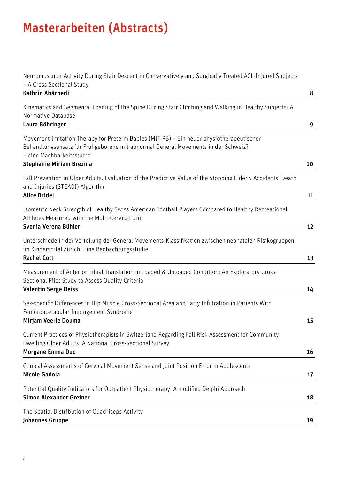## Masterarbeiten (Abstracts)

Neuromuscular Activity During Stair Descent in Conservatively and Surgically Treated ACL-Injured Subjects – A Cross Sectional Study

| – A Cross Sectional Study<br>Kathrin Abächerli                                                                                                                                                                                                | 8  |
|-----------------------------------------------------------------------------------------------------------------------------------------------------------------------------------------------------------------------------------------------|----|
| Kinematics and Segmental Loading of the Spine During Stair Climbing and Walking in Healthy Subjects: A<br>Normative Database<br>Laura Böhringer                                                                                               | 9  |
| Movement Imitation Therapy for Preterm Babies (MIT-PB) - Ein neuer physiotherapeutischer<br>Behandlungsansatz für Frühgeborene mit abnormal General Movements in der Schweiz?<br>- eine Machbarkeitsstudie<br><b>Stephanie Miriam Brezina</b> | 10 |
| Fall Prevention in Older Adults. Evaluation of the Predictive Value of the Stopping Elderly Accidents, Death<br>and Injuries (STEADI) Algorithm<br><b>Alice Bridel</b>                                                                        | 11 |
| Isometric Neck Strength of Healthy Swiss American Football Players Compared to Healthy Recreational<br>Athletes Measured with the Multi-Cervical Unit<br>Svenia Verena Bühler                                                                 | 12 |
| Unterschiede in der Verteilung der General Movements-Klassifikation zwischen neonatalen Risikogruppen<br>im Kinderspital Zürich: Eine Beobachtungsstudie<br><b>Rachel Cott</b>                                                                | 13 |
| Measurement of Anterior Tibial Translation in Loaded & Unloaded Condition: An Exploratory Cross-<br>Sectional Pilot Study to Assess Quality Criteria<br><b>Valentin Serge Deiss</b>                                                           | 14 |
| Sex-specific Differences in Hip Muscle Cross-Sectional Area and Fatty Infiltration in Patients With<br>Femoroacetabular Impingement Syndrome<br>Mirjam Veerle Douma                                                                           | 15 |
| Current Practices of Physiotherapists in Switzerland Regarding Fall Risk-Assessment for Community-<br>Dwelling Older Adults: A National Cross-Sectional Survey.<br>Morgane Emma Duc                                                           | 16 |
| Clinical Assessments of Cervical Movement Sense and Joint Position Error in Adolescents<br>Nicole Gadola                                                                                                                                      | 17 |
| Potential Quality Indicators for Outpatient Physiotherapy: A modified Delphi Approach<br>Simon Alexander Greiner                                                                                                                              | 18 |
| The Spatial Distribution of Quadriceps Activity<br>Johannes Gruppe                                                                                                                                                                            | 19 |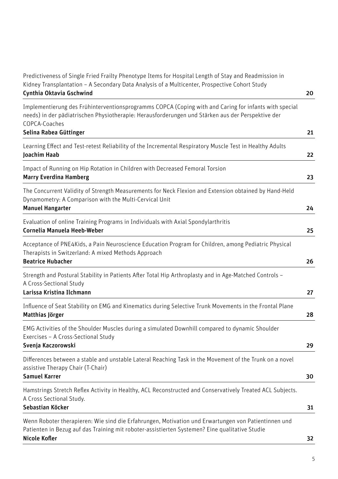| Predictiveness of Single Fried Frailty Phenotype Items for Hospital Length of Stay and Readmission in<br>Kidney Transplantation - A Secondary Data Analysis of a Multicenter, Prospective Cohort Study<br>Cynthia Oktavia Gschwind                    | 20 |
|-------------------------------------------------------------------------------------------------------------------------------------------------------------------------------------------------------------------------------------------------------|----|
| Implementierung des Frühinterventionsprogramms COPCA (Coping with and Caring for infants with special<br>needs) in der pädiatrischen Physiotherapie: Herausforderungen und Stärken aus der Perspektive der<br>COPCA-Coaches<br>Selina Rabea Güttinger | 21 |
| Learning Effect and Test-retest Reliability of the Incremental Respiratory Muscle Test in Healthy Adults<br>Joachim Haab                                                                                                                              | 22 |
| Impact of Running on Hip Rotation in Children with Decreased Femoral Torsion<br><b>Marry Everdina Hamberg</b>                                                                                                                                         | 23 |
| The Concurrent Validity of Strength Measurements for Neck Flexion and Extension obtained by Hand-Held<br>Dynamometry: A Comparison with the Multi-Cervical Unit<br><b>Manuel Hangarter</b>                                                            | 24 |
| Evaluation of online Training Programs in Individuals with Axial Spondylarthritis<br>Cornelia Manuela Heeb-Weber                                                                                                                                      | 25 |
| Acceptance of PNE4Kids, a Pain Neuroscience Education Program for Children, among Pediatric Physical<br>Therapists in Switzerland: A mixed Methods Approach<br><b>Beatrice Hubacher</b>                                                               | 26 |
| Strength and Postural Stability in Patients After Total Hip Arthroplasty and in Age-Matched Controls -<br>A Cross-Sectional Study<br>Larissa Kristina Ilchmann                                                                                        | 27 |
| Influence of Seat Stability on EMG and Kinematics during Selective Trunk Movements in the Frontal Plane<br>Matthias Jörger                                                                                                                            | 28 |
| EMG Activities of the Shoulder Muscles during a simulated Downhill compared to dynamic Shoulder<br>Exercises - A Cross-Sectional Study<br>Svenja Kaczorowski                                                                                          | 29 |
| Differences between a stable and unstable Lateral Reaching Task in the Movement of the Trunk on a novel<br>assistive Therapy Chair (T-Chair)<br>Samuel Karrer                                                                                         | 30 |
| Hamstrings Stretch Reflex Activity in Healthy, ACL Reconstructed and Conservatively Treated ACL Subjects.<br>A Cross Sectional Study.<br>Sebastian Köcker                                                                                             | 31 |
| Wenn Roboter therapieren: Wie sind die Erfahrungen, Motivation und Erwartungen von Patientinnen und<br>Patienten in Bezug auf das Training mit roboter-assistierten Systemen? Eine qualitative Studie<br>Nicole Kofler                                | 32 |

5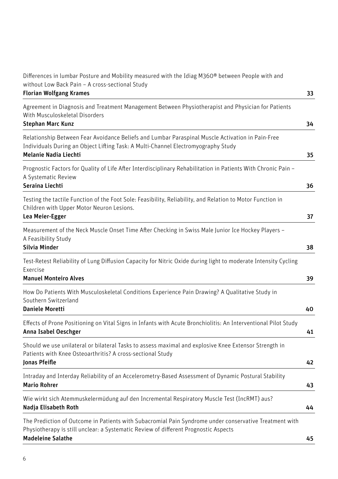| Differences in lumbar Posture and Mobility measured with the Idiag M360® between People with and<br>without Low Back Pain - A cross-sectional Study                                                                       |    |
|---------------------------------------------------------------------------------------------------------------------------------------------------------------------------------------------------------------------------|----|
| <b>Florian Wolfgang Krames</b>                                                                                                                                                                                            | 33 |
| Agreement in Diagnosis and Treatment Management Between Physiotherapist and Physician for Patients<br>With Musculoskeletal Disorders                                                                                      |    |
| <b>Stephan Marc Kunz</b>                                                                                                                                                                                                  | 34 |
| Relationship Between Fear Avoidance Beliefs and Lumbar Paraspinal Muscle Activation in Pain-Free<br>Individuals During an Object Lifting Task: A Multi-Channel Electromyography Study<br><b>Melanie Nadia Liechti</b>     | 35 |
| Prognostic Factors for Quality of Life After Interdisciplinary Rehabilitation in Patients With Chronic Pain -<br>A Systematic Review<br>Seraina Liechti                                                                   | 36 |
| Testing the tactile Function of the Foot Sole: Feasibility, Reliability, and Relation to Motor Function in<br>Children with Upper Motor Neuron Lesions.<br>Lea Meier-Egger                                                | 37 |
| Measurement of the Neck Muscle Onset Time After Checking in Swiss Male Junior Ice Hockey Players -<br>A Feasibility Study<br>Silvia Minder                                                                                | 38 |
| Test-Retest Reliability of Lung Diffusion Capacity for Nitric Oxide during light to moderate Intensity Cycling<br>Exercise<br><b>Manuel Monteiro Alves</b>                                                                | 39 |
| How Do Patients With Musculoskeletal Conditions Experience Pain Drawing? A Qualitative Study in<br>Southern Switzerland<br><b>Daniele Moretti</b>                                                                         | 40 |
| Effects of Prone Positioning on Vital Signs in Infants with Acute Bronchiolitis: An Interventional Pilot Study<br>Anna Isabel Oeschger                                                                                    | 41 |
| Should we use unilateral or bilateral Tasks to assess maximal and explosive Knee Extensor Strength in<br>Patients with Knee Osteoarthritis? A cross-sectional Study<br><b>Ionas Pfeifle</b>                               | 42 |
| Intraday and Interday Reliability of an Accelerometry-Based Assessment of Dynamic Postural Stability<br><b>Mario Rohrer</b>                                                                                               | 43 |
| Wie wirkt sich Atemmuskelermüdung auf den Incremental Respiratory Muscle Test (IncRMT) aus?<br>Nadja Elisabeth Roth                                                                                                       | 44 |
| The Prediction of Outcome in Patients with Subacromial Pain Syndrome under conservative Treatment with<br>Physiotherapy is still unclear: a Systematic Review of different Prognostic Aspects<br><b>Madeleine Salathe</b> | 45 |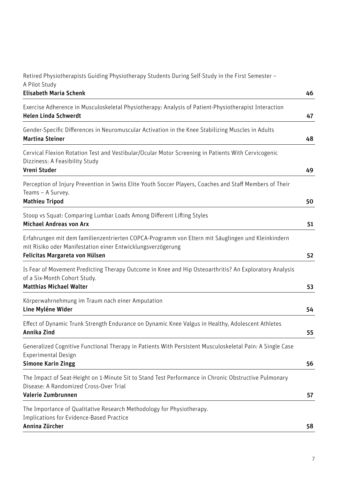| Retired Physiotherapists Guiding Physiotherapy Students During Self-Study in the First Semester -<br>A Pilot Study                                                                                 |    |
|----------------------------------------------------------------------------------------------------------------------------------------------------------------------------------------------------|----|
| <b>Elisabeth Maria Schenk</b>                                                                                                                                                                      | 46 |
| Exercise Adherence in Musculoskeletal Physiotherapy: Analysis of Patient-Physiotherapist Interaction<br><b>Helen Linda Schwerdt</b>                                                                | 47 |
| Gender-Specific Differences in Neuromuscular Activation in the Knee Stabilizing Muscles in Adults<br><b>Martina Steiner</b>                                                                        | 48 |
| Cervical Flexion Rotation Test and Vestibular/Ocular Motor Screening in Patients With Cervicogenic<br>Dizziness: A Feasibility Study<br><b>Vreni Studer</b>                                        | 49 |
| Perception of Injury Prevention in Swiss Elite Youth Soccer Players, Coaches and Staff Members of Their<br>Teams - A Survey.<br><b>Mathieu Tripod</b>                                              | 50 |
| Stoop vs Squat: Comparing Lumbar Loads Among Different Lifting Styles<br><b>Michael Andreas von Arx</b>                                                                                            | 51 |
| Erfahrungen mit dem familienzentrierten COPCA-Programm von Eltern mit Säuglingen und Kleinkindern<br>mit Risiko oder Manifestation einer Entwicklungsverzögerung<br>Felicitas Margareta von Hülsen | 52 |
| Is Fear of Movement Predicting Therapy Outcome in Knee and Hip Osteoarthritis? An Exploratory Analysis<br>of a Six-Month Cohort Study.<br><b>Matthias Michael Walter</b>                           | 53 |
| Körperwahrnehmung im Traum nach einer Amputation<br>Line Myléne Wider                                                                                                                              | 54 |
| Effect of Dynamic Trunk Strength Endurance on Dynamic Knee Valgus in Healthy, Adolescent Athletes<br>Annika Zind                                                                                   | 55 |
| Generalized Cognitive Functional Therapy in Patients With Persistent Musculoskeletal Pain: A Single Case<br><b>Experimental Design</b><br><b>Simone Karin Zingg</b>                                | 56 |
| The Impact of Seat-Height on 1-Minute Sit to Stand Test Performance in Chronic Obstructive Pulmonary<br>Disease: A Randomized Cross-Over Trial<br>Valerie Zumbrunnen                               | 57 |
| The Importance of Qualitative Research Methodology for Physiotherapy.<br>Implications for Evidence-Based Practice<br>Annina Zürcher                                                                | 58 |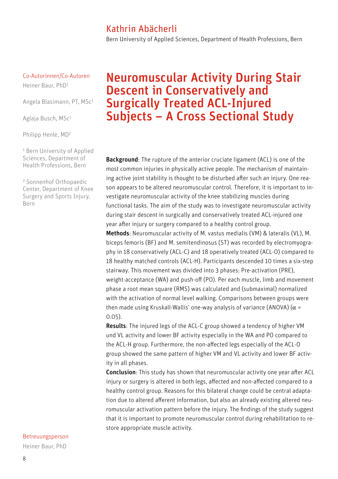### Kathrin Abächerli

Bern University of Applied Sciences, Department of Health Professions, Bern

Co-Autorinnen/Co-Autoren

Heiner Baur, PhD1

Angela Blasimann, PT, MSc1

Aglaja Busch, MSc1

Philipp Henle, MD2

1 Bern University of Applied Sciences, Department of Health Professions, Bern

2 Sonnenhof Orthopaedic Center, Department of Knee Surgery and Sports Injury, Bern

## Neuromuscular Activity During Stair Descent in Conservatively and Surgically Treated ACL-Injured Subjects – A Cross Sectional Study

Background: The rupture of the anterior cruciate ligament (ACL) is one of the most common injuries in physically active people. The mechanism of maintaining active joint stability is thought to be disturbed after such an injury. One reason appears to be altered neuromuscular control. Therefore, it is important to investigate neuromuscular activity of the knee stabilizing muscles during functional tasks. The aim of the study was to investigate neuromuscular activity during stair descent in surgically and conservatively treated ACL-injured one year after injury or surgery compared to a healthy control group.

Methods: Neuromuscular activity of M. vastus medialis (VM) & lateralis (VL), M. biceps femoris (BF) and M. semitendinosus (ST) was recorded by electromyography in 18 conservatively (ACL-C) and 18 operatively treated (ACL-O) compared to 18 healthy matched controls (ACL-H). Participants descended 10 times a six-step stairway. This movement was divided into 3 phases: Pre-activation (PRE), weight-acceptance (WA) and push-off (PO). Per each muscle, limb and movement phase a root mean square (RMS) was calculated and (submaximal) normalized with the activation of normal level walking. Comparisons between groups were then made using Kruskall-Wallis' one-way analysis of variance (ANOVA) ( $\alpha$  = 0.05).

Results: The injured legs of the ACL-C group showed a tendency of higher VM und VL activity and lower BF activity especially in the WA and PO compared to the ACL-H group. Furthermore, the non-affected legs especially of the ACL-O group showed the same pattern of higher VM and VL activity and lower BF activity in all phases.

Conclusion: This study has shown that neuromuscular activity one year after ACL injury or surgery is altered in both legs, affected and non-affected compared to a healthy control group. Reasons for this bilateral change could be central adaptation due to altered afferent information, but also an already existing altered neuromuscular activation pattern before the injury. The findings of the study suggest that it is important to promote neuromuscular control during rehabilitation to restore appropriate muscle activity.

Betreuungsperson Heiner Baur, PhD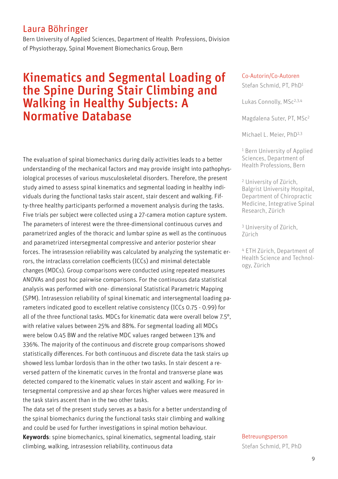### Laura Böhringer

Bern University of Applied Sciences, Department of Health Professions, Division of Physiotherapy, Spinal Movement Biomechanics Group, Bern

## Kinematics and Segmental Loading of the Spine During Stair Climbing and Walking in Healthy Subjects: A Normative Database

The evaluation of spinal biomechanics during daily activities leads to a better understanding of the mechanical factors and may provide insight into pathophysiological processes of various musculoskeletal disorders. Therefore, the present study aimed to assess spinal kinematics and segmental loading in healthy individuals during the functional tasks stair ascent, stair descent and walking. Fifty-three healthy participants performed a movement analysis during the tasks. Five trials per subject were collected using a 27-camera motion capture system. The parameters of interest were the three-dimensional continuous curves and parametrized angles of the thoracic and lumbar spine as well as the continuous and parametrized intersegmental compressive and anterior posterior shear forces. The intrasession reliability was calculated by analyzing the systematic errors, the intraclass correlation coefficients (ICCs) and minimal detectable changes (MDCs). Group comparisons were conducted using repeated measures ANOVAs and post hoc pairwise comparisons. For the continuous data statistical analysis was performed with one- dimensional Statistical Parametric Mapping (SPM). Intrasession reliability of spinal kinematic and intersegmental loading parameters indicated good to excellent relative consistency (ICCs 0.75 - 0.99) for all of the three functional tasks. MDCs for kinematic data were overall below 7.5°, with relative values between 25% and 88%. For segmental loading all MDCs were below 0.45 BW and the relative MDC values ranged between 13% and 336%. The majority of the continuous and discrete group comparisons showed statistically differences. For both continuous and discrete data the task stairs up showed less lumbar lordosis than in the other two tasks. In stair descent a reversed pattern of the kinematic curves in the frontal and transverse plane was detected compared to the kinematic values in stair ascent and walking. For intersegmental compressive and ap shear forces higher values were measured in the task stairs ascent than in the two other tasks.

The data set of the present study serves as a basis for a better understanding of the spinal biomechanics during the functional tasks stair climbing and walking and could be used for further investigations in spinal motion behaviour. Keywords: spine biomechanics, spinal kinematics, segmental loading, stair climbing, walking, intrasession reliability, continuous data

Co-Autorin/Co-Autoren

Stefan Schmid, PT, PhD1

Lukas Connolly, MSc<sup>2,3,4</sup>

Magdalena Suter, PT, MSc2

Michael L. Meier, PhD2,3

1 Bern University of Applied Sciences, Department of Health Professions, Bern

2 University of Zürich, Balgrist University Hospital, Department of Chiropractic Medicine, Integrative Spinal Research, Zürich

3 University of Zürich, Zürich

4 ETH Zürich, Department of Health Science and Technology, Zürich

Betreuungsperson Stefan Schmid, PT, PhD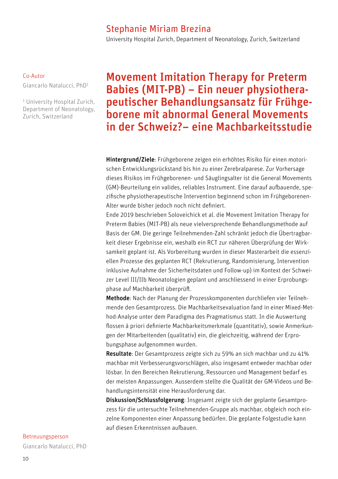### Stephanie Miriam Brezina

University Hospital Zurich, Department of Neonatology, Zurich, Switzerland

#### Co-Autor

Giancarlo Natalucci, PhD1

1 University Hospital Zurich, Department of Neonatology, Zurich, Switzerland

## Movement Imitation Therapy for Preterm Babies (MIT-PB) – Ein neuer physiotherapeutischer Behandlungsansatz für Frühgeborene mit abnormal General Movements in der Schweiz?– eine Machbarkeitsstudie

Hintergrund/Ziele: Frühgeborene zeigen ein erhöhtes Risiko für einen motorischen Entwicklungsrückstand bis hin zu einer Zerebralparese. Zur Vorhersage dieses Risikos im Frühgeborenen- und Säuglingsalter ist die General Movements (GM)-Beurteilung ein valides, reliables Instrument. Eine darauf aufbauende, spezifische physiotherapeutische Intervention beginnend schon im Frühgeborenen-Alter wurde bisher jedoch noch nicht definiert.

Ende 2019 beschrieben Soloveichick et al. die Movement Imitation Therapy for Preterm Babies (MIT-PB) als neue vielversprechende Behandlungsmethode auf Basis der GM. Die geringe Teilnehmenden-Zahl schränkt jedoch die Übertragbarkeit dieser Ergebnisse ein, weshalb ein RCT zur näheren Überprüfung der Wirksamkeit geplant ist. Als Vorbereitung wurden in dieser Masterarbeit die essenziellen Prozesse des geplanten RCT (Rekrutierung, Randomisierung, Intervention inklusive Aufnahme der Sicherheitsdaten und Follow-up) im Kontext der Schweizer Level III/IIb Neonatologien geplant und anschliessend in einer Erprobungsphase auf Machbarkeit überprüft.

Methode: Nach der Planung der Prozesskomponenten durchliefen vier Teilnehmende den Gesamtprozess. Die Machbarkeitsevaluation fand in einer Mixed-Method-Analyse unter dem Paradigma des Pragmatismus statt. In die Auswertung flossen á priori definierte Machbarkeitsmerkmale (quantitativ), sowie Anmerkungen der Mitarbeitenden (qualitativ) ein, die gleichzeitig, während der Erprobungsphase aufgenommen wurden.

Resultate: Der Gesamtprozess zeigte sich zu 59% an sich machbar und zu 41% machbar mit Verbesserungsvorschlägen, also insgesamt entweder machbar oder lösbar. In den Bereichen Rekrutierung, Ressourcen und Management bedarf es der meisten Anpassungen. Ausserdem stellte die Qualität der GM-Videos und Behandlungsintensität eine Herausforderung dar.

Diskussion/Schlussfolgerung: Insgesamt zeigte sich der geplante Gesamtprozess für die untersuchte Teilnehmenden-Gruppe als machbar, obgleich noch einzelne Komponenten einer Anpassung bedürfen. Die geplante Folgestudie kann auf diesen Erkenntnissen aufbauen.

#### Betreuungsperson Giancarlo Natalucci, PhD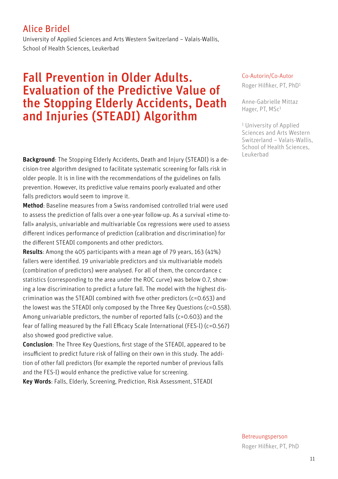### Alice Bridel

University of Applied Sciences and Arts Western Switzerland – Valais-Wallis, School of Health Sciences, Leukerbad

## Fall Prevention in Older Adults. Evaluation of the Predictive Value of the Stopping Elderly Accidents, Death and Injuries (STEADI) Algorithm

Background: The Stopping Elderly Accidents, Death and Injury (STEADI) is a decision-tree algorithm designed to facilitate systematic screening for falls risk in older people. It is in line with the recommendations of the guidelines on falls prevention. However, its predictive value remains poorly evaluated and other falls predictors would seem to improve it.

Method: Baseline measures from a Swiss randomised controlled trial were used to assess the prediction of falls over a one-year follow-up. As a survival «time-tofall» analysis, univariable and multivariable Cox regressions were used to assess different indices performance of prediction (calibration and discrimination) for the different STEADI components and other predictors.

Results: Among the 405 participants with a mean age of 79 years, 163 (41%) fallers were identified. 19 univariable predictors and six multivariable models (combination of predictors) were analysed. For all of them, the concordance c statistics (corresponding to the area under the ROC curve) was below 0.7, showing a low discrimination to predict a future fall. The model with the highest discrimination was the STEADI combined with five other predictors (c=0.653) and the lowest was the STEADI only composed by the Three Key Questions (c=0.558). Among univariable predictors, the number of reported falls (c=0.603) and the fear of falling measured by the Fall Efficacy Scale International (FES-I) (c=0.567) also showed good predictive value.

Conclusion: The Three Key Questions, first stage of the STEADI, appeared to be insufficient to predict future risk of falling on their own in this study. The addition of other fall predictors (for example the reported number of previous falls and the FES-I) would enhance the predictive value for screening. Key Words: Falls, Elderly, Screening, Prediction, Risk Assessment, STEADI

#### Co-Autorin/Co-Autor

Roger Hilfiker, PT, PhD1

Anne-Gabrielle Mittaz Hager, PT, MSc<sup>1</sup>

1 University of Applied Sciences and Arts Western Switzerland – Valais-Wallis, School of Health Sciences, Leukerbad

Betreuungsperson Roger Hilfiker, PT, PhD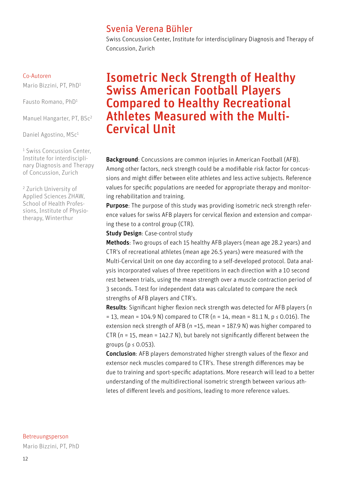### Svenia Verena Bühler

Swiss Concussion Center, Institute for interdisciplinary Diagnosis and Therapy of Concussion, Zurich

#### Co-Autoren

Mario Bizzini, PT, PhD<sup>1</sup>

Fausto Romano, PhD1

Manuel Hangarter, PT, BSc2

Daniel Agostino, MSc<sup>1</sup>

1 Swiss Concussion Center, Institute for interdisciplinary Diagnosis and Therapy of Concussion, Zurich

2 Zurich University of Applied Sciences ZHAW, School of Health Professions, Institute of Physiotherapy, Winterthur

## Isometric Neck Strength of Healthy Swiss American Football Players Compared to Healthy Recreational Athletes Measured with the Multi-Cervical Unit

Background: Concussions are common injuries in American Football (AFB). Among other factors, neck strength could be a modifiable risk factor for concussions and might differ between elite athletes and less active subjects. Reference values for specific populations are needed for appropriate therapy and monitoring rehabilitation and training.

Purpose: The purpose of this study was providing isometric neck strength reference values for swiss AFB players for cervical flexion and extension and comparing these to a control group (CTR).

Study Design: Case-control study

Methods: Two groups of each 15 healthy AFB players (mean age 28.2 years) and CTR's of recreational athletes (mean age 26.5 years) were measured with the Multi-Cervical Unit on one day according to a self-developed protocol. Data analysis incorporated values of three repetitions in each direction with a 10 second rest between trials, using the mean strength over a muscle contraction period of 3 seconds. T-test for independent data was calculated to compare the neck strengths of AFB players and CTR's.

Results: Significant higher flexion neck strength was detected for AFB players (n = 13, mean = 104.9 N) compared to CTR (n = 14, mean = 81.1 N, p ≤ 0.016). The extension neck strength of AFB (n =15, mean = 187.9 N) was higher compared to CTR ( $n = 15$ , mean = 142.7 N), but barely not significantly different between the groups ( $p \leq 0.053$ ).

Conclusion: AFB players demonstrated higher strength values of the flexor and extensor neck muscles compared to CTR's. These strength differences may be due to training and sport-specific adaptations. More research will lead to a better understanding of the multidirectional isometric strength between various athletes of different levels and positions, leading to more reference values.

Betreuungsperson Mario Bizzini, PT, PhD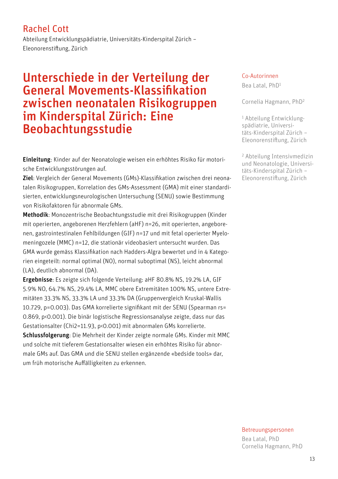### Rachel Cott

Abteilung Entwicklungspädiatrie, Universitäts-Kinderspital Zürich – Eleonorenstiftung, Zürich

## Unterschiede in der Verteilung der General Movements-Klassifikation zwischen neonatalen Risikogruppen im Kinderspital Zürich: Eine Beobachtungsstudie

Einleitung: Kinder auf der Neonatologie weisen ein erhöhtes Risiko für motorische Entwicklungsstörungen auf.

Ziel: Vergleich der General Movements (GMs)-Klassifikation zwischen drei neonatalen Risikogruppen, Korrelation des GMs-Assessment (GMA) mit einer standardisierten, entwicklungsneurologischen Untersuchung (SENU) sowie Bestimmung von Risikofaktoren für abnormale GMs.

Methodik: Monozentrische Beobachtungsstudie mit drei Risikogruppen (Kinder mit operierten, angeborenen Herzfehlern (aHF) n=26, mit operierten, angeborenen, gastrointestinalen Fehlbildungen (GIF) n=17 und mit fetal operierter Myelomeningozele (MMC) n=12, die stationär videobasiert untersucht wurden. Das GMA wurde gemäss Klassifikation nach Hadders-Algra bewertet und in 4 Kategorien eingeteilt: normal optimal (NO), normal suboptimal (NS), leicht abnormal (LA), deutlich abnormal (DA).

Ergebnisse: Es zeigte sich folgende Verteilung: aHF 80.8% NS, 19.2% LA, GIF 5.9% NO, 64.7% NS, 29.4% LA, MMC obere Extremitäten 100% NS, untere Extremitäten 33.3% NS, 33.3% LA und 33.3% DA (Gruppenvergleich Kruskal-Wallis 10.729, p=0.003). Das GMA korrelierte signifikant mit der SENU (Spearman rs= 0.869, p<0.001). Die binär logistische Regressionsanalyse zeigte, dass nur das Gestationsalter (Chi2=11.93, p<0.001) mit abnormalen GMs korrelierte.

Schlussfolgerung: Die Mehrheit der Kinder zeigte normale GMs. Kinder mit MMC und solche mit tieferem Gestationsalter wiesen ein erhöhtes Risiko für abnormale GMs auf. Das GMA und die SENU stellen ergänzende «bedside tools» dar, um früh motorische Auffälligkeiten zu erkennen.

#### Co-Autorinnen

Bea Latal, PhD1

Cornelia Hagmann, PhD2

1 Abteilung Entwicklungspädiatrie, Universitäts-Kinderspital Zürich – Eleonorenstiftung, Zürich

2 Abteilung Intensivmedizin und Neonatologie, Universitäts-Kinderspital Zürich – Eleonorenstiftung, Zürich

Betreuungspersonen

Bea Latal, PhD Cornelia Hagmann, PhD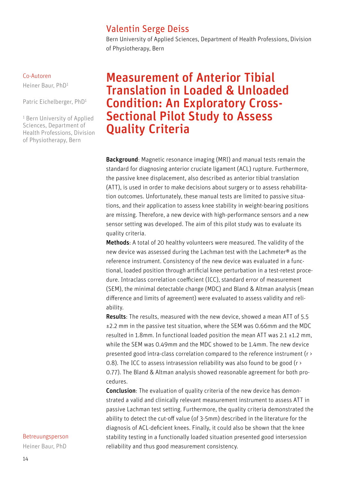### Valentin Serge Deiss

Bern University of Applied Sciences, Department of Health Professions, Division of Physiotherapy, Bern

#### Co-Autoren

Heiner Baur, PhD1

Patric Eichelberger, PhD1

1 Bern University of Applied Sciences, Department of Health Professions, Division of Physiotherapy, Bern

## Measurement of Anterior Tibial Translation in Loaded & Unloaded Condition: An Exploratory Cross-Sectional Pilot Study to Assess Quality Criteria

Background: Magnetic resonance imaging (MRI) and manual tests remain the standard for diagnosing anterior cruciate ligament (ACL) rupture. Furthermore, the passive knee displacement, also described as anterior tibial translation (ATT), is used in order to make decisions about surgery or to assess rehabilitation outcomes. Unfortunately, these manual tests are limited to passive situations, and their application to assess knee stability in weight-bearing positions are missing. Therefore, a new device with high-performance sensors and a new sensor setting was developed. The aim of this pilot study was to evaluate its quality criteria.

Methods: A total of 20 healthy volunteers were measured. The validity of the new device was assessed during the Lachman test with the Lachmeter® as the reference instrument. Consistency of the new device was evaluated in a functional, loaded position through artificial knee perturbation in a test-retest procedure. Intraclass correlation coefficient (ICC), standard error of measurement (SEM), the minimal detectable change (MDC) and Bland & Altman analysis (mean difference and limits of agreement) were evaluated to assess validity and reliability.

Results: The results, measured with the new device, showed a mean ATT of 5.5 ±2.2 mm in the passive test situation, where the SEM was 0.66mm and the MDC resulted in 1.8mm. In functional loaded position the mean ATT was 2.1 ±1.2 mm, while the SFM was 0.49mm and the MDC showed to be 1.4mm. The new device presented good intra-class correlation compared to the reference instrument (r > 0.8). The ICC to assess intrasession reliability was also found to be good (r > 0.77). The Bland & Altman analysis showed reasonable agreement for both procedures.

Conclusion: The evaluation of quality criteria of the new device has demonstrated a valid and clinically relevant measurement instrument to assess ATT in passive Lachman test setting. Furthermore, the quality criteria demonstrated the ability to detect the cut-off value (of 3-5mm) described in the literature for the diagnosis of ACL-deficient knees. Finally, it could also be shown that the knee stability testing in a functionally loaded situation presented good intersession reliability and thus good measurement consistency.

Betreuungsperson Heiner Baur, PhD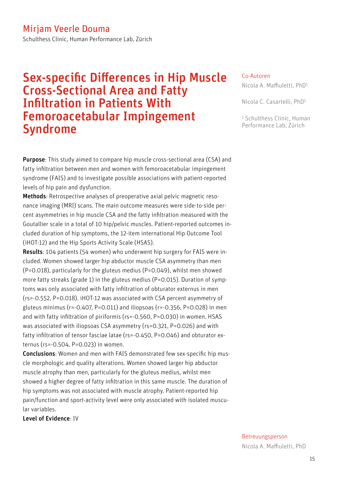### Mirjam Veerle Douma

Schulthess Clinic, Human Performance Lab, Zürich

## Sex-specific Differences in Hip Muscle Cross-Sectional Area and Fatty Infiltration in Patients With Femoroacetabular Impingement Syndrome

Purpose: This study aimed to compare hip muscle cross-sectional area (CSA) and fatty infiltration between men and women with femoroacetabular impingement syndrome (FAIS) and to investigate possible associations with patient-reported levels of hip pain and dysfunction.

Methods: Retrospective analyses of preoperative axial pelvic magnetic resonance imaging (MRI) scans. The main outcome measures were side-to-side percent asymmetries in hip muscle CSA and the fatty infiltration measured with the Goutallier scale in a total of 10 hip/pelvic muscles. Patient-reported outcomes included duration of hip symptoms, the 12-item international Hip Outcome Tool (iHOT-12) and the Hip Sports Activity Scale (HSAS).

Results: 104 patients (54 women) who underwent hip surgery for FAIS were included. Women showed larger hip abductor muscle CSA asymmetry than men (P=0.018), particularly for the gluteus medius (P=0.049), whilst men showed more fatty streaks (grade 1) in the gluteus medius (P=0.015). Duration of symptoms was only associated with fatty infiltration of obturator externus in men (rs=-0.552, P=0.018). iHOT-12 was associated with CSA percent asymmetry of gluteus minimus (r=-0.407, P=0.011) and iliopsoas (r=-0.356, P=0.028) in men and with fatty infiltration of piriformis (rs=-0.560, P=0.030) in women. HSAS was associated with iliopsoas CSA asymmetry (rs=0.321, P=0.026) and with fatty infiltration of tensor fasciae latae (rs=-0.450, P=0.046) and obturator externus (rs=-0.504, P=0.023) in women.

Conclusions: Women and men with FAIS demonstrated few sex-specific hip muscle morphologic and quality alterations. Women showed larger hip abductor muscle atrophy than men, particularly for the gluteus medius, whilst men showed a higher degree of fatty infiltration in this same muscle. The duration of hip symptoms was not associated with muscle atrophy. Patient-reported hip pain/function and sport-activity level were only associated with isolated muscular variables.

Level of Evidence: IV

#### Co-Autoren

Nicola A. Maffiuletti, PhD1

Nicola C. Casartelli, PhD1

1 Schulthess Clinic, Human Performance Lab, Zürich

Betreuungsperson Nicola A. Maffiuletti, PhD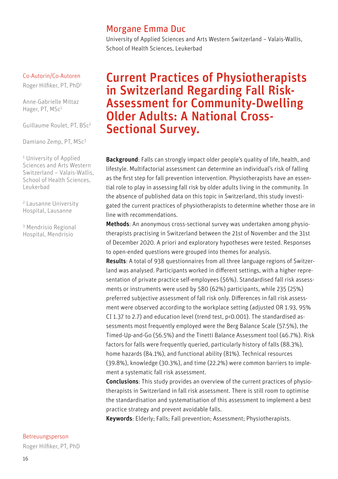### Morgane Emma Duc

University of Applied Sciences and Arts Western Switzerland – Valais-Wallis, School of Health Sciences, Leukerbad

## Current Practices of Physiotherapists in Switzerland Regarding Fall Risk-Assessment for Community-Dwelling Older Adults: A National Cross-Sectional Survey.

Background: Falls can strongly impact older people's quality of life, health, and lifestyle. Multifactorial assessment can determine an individual's risk of falling as the first step for fall prevention intervention. Physiotherapists have an essential role to play in assessing fall risk by older adults living in the community. In the absence of published data on this topic in Switzerland, this study investigated the current practices of physiotherapists to determine whether those are in line with recommendations.

Methods: An anonymous cross-sectional survey was undertaken among physiotherapists practising in Switzerland between the 21st of November and the 31st of December 2020. A priori and exploratory hypotheses were tested. Responses to open-ended questions were grouped into themes for analysis.

Results: A total of 938 questionnaires from all three language regions of Switzerland was analysed. Participants worked in different settings, with a higher representation of private practice self-employees (56%). Standardised fall risk assessments or instruments were used by 580 (62%) participants, while 235 (25%) preferred subjective assessment of fall risk only. Differences in fall risk assessment were observed according to the workplace setting (adjusted OR 1.93, 95% CI 1.37 to 2.7) and education level (trend test, p<0.001). The standardised assessments most frequently employed were the Berg Balance Scale (57.5%), the Timed-Up-and-Go (56.5%) and the Tinetti Balance Assessment tool (46.7%). Risk factors for falls were frequently queried, particularly history of falls (88.3%), home hazards (84.1%), and functional ability (81%). Technical resources (39.8%), knowledge (30.3%), and time (22.2%) were common barriers to implement a systematic fall risk assessment.

Conclusions: This study provides an overview of the current practices of physiotherapists in Switzerland in fall risk assessment. There is still room to optimise the standardisation and systematisation of this assessment to implement a best practice strategy and prevent avoidable falls.

Keywords: Elderly; Falls; Fall prevention; Assessment; Physiotherapists.

Betreuungsperson Roger Hilfiker, PT, PhD

### Co-Autorin/Co-Autoren

Roger Hilfiker, PT, PhD1

Anne-Gabrielle Mittaz Hager, PT, MSc<sup>1</sup>

Guillaume Roulet, PT, BSc2

Damiano Zemp, PT, MSc3

1 University of Applied Sciences and Arts Western Switzerland – Valais-Wallis, School of Health Sciences, Leukerbad

2 Lausanne University Hospital, Lausanne

3 Mendrisio Regional Hospital, Mendrisio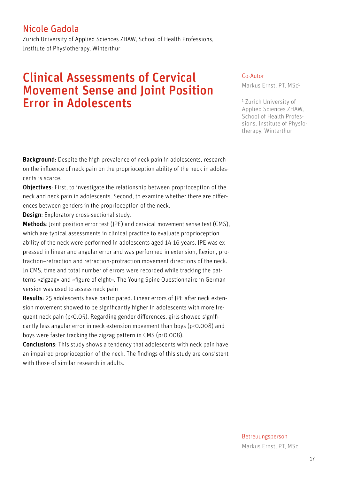### Nicole Gadola

Zurich University of Applied Sciences ZHAW, School of Health Professions, Institute of Physiotherapy, Winterthur

## Clinical Assessments of Cervical Movement Sense and Joint Position Error in Adolescents

Background: Despite the high prevalence of neck pain in adolescents, research on the influence of neck pain on the proprioception ability of the neck in adolescents is scarce.

Objectives: First, to investigate the relationship between proprioception of the neck and neck pain in adolescents. Second, to examine whether there are differences between genders in the proprioception of the neck.

Design: Exploratory cross-sectional study.

Methods: Joint position error test (JPE) and cervical movement sense test (CMS), which are typical assessments in clinical practice to evaluate proprioception ability of the neck were performed in adolescents aged 14-16 years. JPE was expressed in linear and angular error and was performed in extension, flexion, protraction–retraction and retraction-protraction movement directions of the neck. In CMS, time and total number of errors were recorded while tracking the patterns «zigzag» and «figure of eight». The Young Spine Questionnaire in German version was used to assess neck pain

Results: 25 adolescents have participated. Linear errors of JPE after neck extension movement showed to be significantly higher in adolescents with more frequent neck pain (p<0.05). Regarding gender differences, girls showed significantly less angular error in neck extension movement than boys (p<0.008) and boys were faster tracking the zigzag pattern in CMS (p<0.008).

Conclusions: This study shows a tendency that adolescents with neck pain have an impaired proprioception of the neck. The findings of this study are consistent with those of similar research in adults.

#### Co-Autor

Markus Ernst, PT, MSc<sup>1</sup>

1 Zurich University of Applied Sciences ZHAW, School of Health Professions, Institute of Physiotherapy, Winterthur

Betreuungsperson Markus Ernst, PT, MSc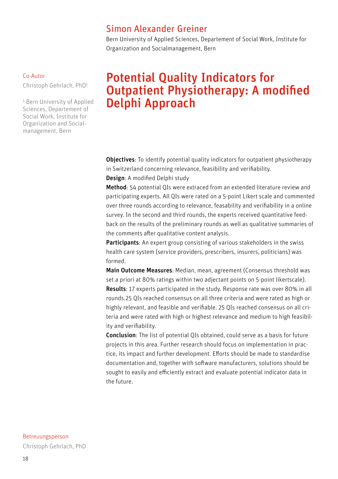### Simon Alexander Greiner

Bern University of Applied Sciences, Departement of Social Work, Institute for Organization and Socialmanagement, Bern

#### Co-Autor

Christoph Gehrlach, PhD1

1 Bern University of Applied Sciences, Departement of Social Work, Institute for Organization and Socialmanagement, Bern

## Potential Quality Indicators for Outpatient Physiotherapy: A modified Delphi Approach

**Objectives**: To identify potential quality indicators for outpatient physiotherapy in Switzerland concerning relevance, feasibility and verifiability.

Design: A modified Delphi study

Method: 54 potential QIs were extraced from an extended literature review and participating experts. All QIs were rated on a 5-point Likert scale and commented over three rounds according to relevance, feasability and verifiability in a online survey. In the second and third rounds, the experts received quantitative feedback on the results of the preliminary rounds as well as qualitative summaries of the comments after qualitative content analysis.

**Participants:** An expert group consisting of various stakeholders in the swiss health care system (service providers, prescribers, insurers, politicians) was formed.

Main Outcome Measures: Median, mean, agreement (Consensus threshold was set a priori at 80% ratings within two adjectant points on 5-point likertscale). Results: 17 experts participated in the study. Response rate was over 80% in all rounds.25 QIs reached consensus on all three criteria and were rated as high or highly relevant, and feasible and verifiable. 25 QIs reached consensus on all cri-

teria and were rated with high or highest relevance and medium to high feasibility and verifiability.

Conclusion: The list of potential QIs obtained, could serve as a basis for future projects in this area. Further research should focus on implementation in practice, its impact and further development. Efforts should be made to standardise documentation and, together with software manufacturers, solutions should be sought to easily and efficiently extract and evaluate potential indicator data in the future.

Betreuungsperson Christoph Gehrlach, PhD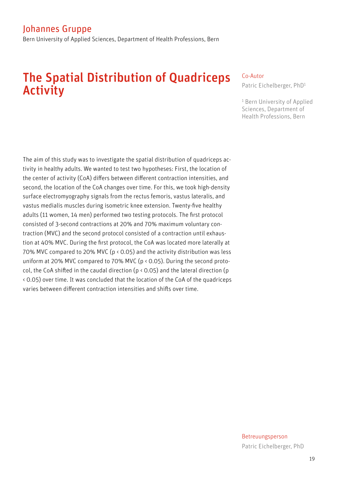## The Spatial Distribution of Quadriceps Activity

#### Co-Autor

Patric Eichelberger, PhD1

1 Bern University of Applied Sciences, Department of Health Professions, Bern

The aim of this study was to investigate the spatial distribution of quadriceps activity in healthy adults. We wanted to test two hypotheses: First, the location of the center of activity (CoA) differs between different contraction intensities, and second, the location of the CoA changes over time. For this, we took high-density surface electromyography signals from the rectus femoris, vastus lateralis, and vastus medialis muscles during isometric knee extension. Twenty-five healthy adults (11 women, 14 men) performed two testing protocols. The first protocol consisted of 3-second contractions at 20% and 70% maximum voluntary contraction (MVC) and the second protocol consisted of a contraction until exhaustion at 40% MVC. During the first protocol, the CoA was located more laterally at 70% MVC compared to 20% MVC (p < 0.05) and the activity distribution was less uniform at 20% MVC compared to 70% MVC (p < 0.05). During the second protocol, the CoA shifted in the caudal direction (p < 0.05) and the lateral direction (p < 0.05) over time. It was concluded that the location of the CoA of the quadriceps varies between different contraction intensities and shifts over time.

> Betreuungsperson Patric Eichelberger, PhD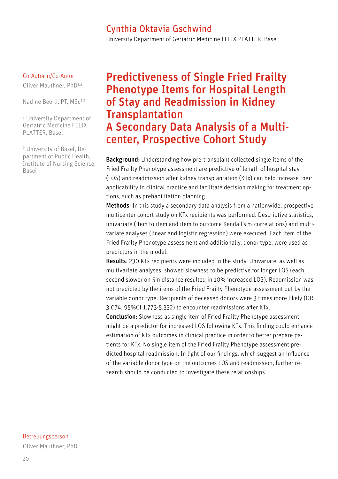### Cynthia Oktavia Gschwind

University Department of Geriatric Medicine FELIX PLATTER, Basel

#### Co-Autorin/Co-Autor

Oliver Mauthner, PhD1,2

Nadine Beerli, PT, MSc<sup>1,2</sup>

1 University Department of Geriatric Medicine FELIX PLATTER, Basel

2 University of Basel, Department of Public Health, Institute of Nursing Science, Basel

## Predictiveness of Single Fried Frailty Phenotype Items for Hospital Length of Stay and Readmission in Kidney Transplantation A Secondary Data Analysis of a Multicenter, Prospective Cohort Study

Background: Understanding how pre-transplant collected single items of the Fried Frailty Phenotype assessment are predictive of length of hospital stay (LOS) and readmission after kidney transplantation (KTx) can help increase their applicability in clinical practice and facilitate decision making for treatment options, such as prehabilitation planning.

Methods: In this study a secondary data analysis from a nationwide, prospective multicenter cohort study on KTx recipients was performed. Descriptive statistics, univariate (item to item and item to outcome Kendall's  $\tau_c$  correlations) and multivariate analyses (linear and logistic regression) were executed. Each item of the Fried Frailty Phenotype assessment and additionally, donor type, were used as predictors in the model.

Results: 230 KTx recipients were included in the study. Univariate, as well as multivariate analyses, showed slowness to be predictive for longer LOS (each second slower on 5m distance resulted in 10% increased LOS). Readmission was not predicted by the items of the Fried Frailty Phenotype assessment but by the variable donor type. Recipients of deceased donors were 3 times more likely (OR 3.074, 95%CI 1.773-5.332) to encounter readmissions after KTx.

**Conclusion:** Slowness as single item of Fried Frailty Phenotype assessment might be a predictor for increased LOS following KTx. This finding could enhance estimation of KTx outcomes in clinical practice in order to better prepare patients for KTx. No single item of the Fried Frailty Phenotype assessment predicted hospital readmission. In light of our findings, which suggest an influence of the variable donor type on the outcomes LOS and readmission, further research should be conducted to investigate these relationships.

Betreuungsperson Oliver Mauthner, PhD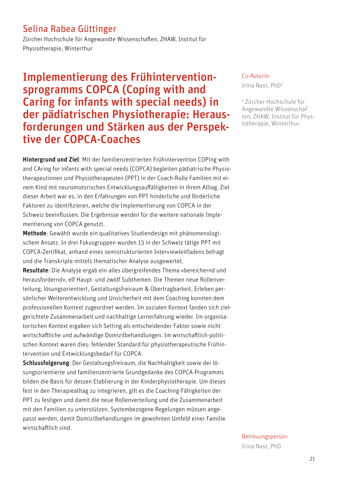### Selina Rabea Güttinger

Zürcher Hochschule für Angewandte Wissenschaften, ZHAW, Institut für Physiotherapie, Winterthur

## Implementierung des Frühinterventionsprogramms COPCA (Coping with and Caring for infants with special needs) in der pädiatrischen Physiotherapie: Herausforderungen und Stärken aus der Perspektive der COPCA-Coaches

Hintergrund und Ziel: Mit der familienzentrierten Frühintervention COPing with and CAring for infants with special needs (COPCA) begleiten pädiatrische Physiotherapeutinnen und Physiotherapeuten (PPT) in der Coach-Rolle Familien mit einem Kind mit neuromotorischen Entwicklungsauffälligkeiten in ihrem Alltag. Ziel dieser Arbeit war es, in den Erfahrungen von PPT hinderliche und förderliche Faktoren zu identifizieren, welche die Implementierung von COPCA in der Schweiz beeinflussen. Die Ergebnisse werden für die weitere nationale Implementierung von COPCA genutzt.

Methode: Gewählt wurde ein qualitatives Studiendesign mit phänomenologischem Ansatz. In drei Fokusgruppen wurden 13 in der Schweiz tätige PPT mit COPCA-Zertifikat, anhand eines semistrukturierten Interviewleitfadens befragt und die Transkripte mittels thematischer Analyse ausgewertet.

Resultate: Die Analyse ergab ein alles übergreifendes Thema «bereichernd und herausfordernd», elf Haupt- und zwölf Subthemen. Die Themen neue Rollenverteilung, lösungsorientiert, Gestaltungsfreiraum & Übertragbarkeit, Erleben persönlicher Weiterentwicklung und Unsicherheit mit dem Coaching konnten dem professionellen Kontext zugeordnet werden. Im sozialen Kontext fanden sich zielgerichtete Zusammenarbeit und nachhaltige Lernerfahrung wieder. Im organisatorischen Kontext ergaben sich Setting als entscheidender Faktor sowie nicht wirtschaftliche und aufwändige Domizilbehandlungen. Im wirtschaftlich-politischen Kontext waren dies: fehlender Standard für physiotherapeutische Frühintervention und Entwicklungsbedarf für COPCA.

Schlussfolgerung: Der Gestaltungsfreiraum, die Nachhaltigkeit sowie der lösungsorientierte und familienzentrierte Grundgedanke des COPCA-Programms bilden die Basis für dessen Etablierung in der Kinderphysiotherapie. Um dieses fest in den Therapiealltag zu integrieren, gilt es die Coaching-Fähigkeiten der PPT zu festigen und damit die neue Rollenverteilung und die Zusammenarbeit mit den Familien zu unterstützen. Systembezogene Regelungen müssen angepasst werden, damit Domizilbehandlungen im gewohnten Umfeld einer Familie wirtschaftlich sind.

#### Co-Autorin

Irina Nast, PhD1

1 Zürcher Hochschule für Angewandte Wissenschaften, ZHAW, Institut für Physiotherapie, Winterthur

Betreuungsperson Irina Nast, PhD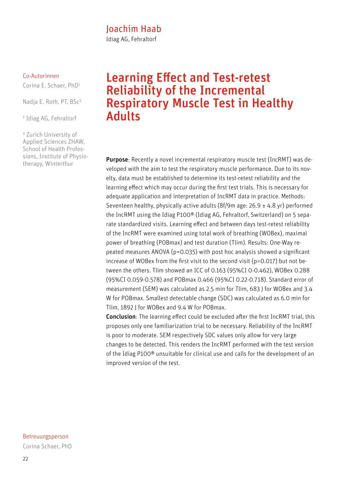### Joachim Haab

Idiag AG, Fehraltorf

#### Co-Autorinnen

Corina E. Schaer, PhD<sup>1</sup>

Nadja E. Roth, PT, BSc2

1 Idiag AG, Fehraltorf

2 Zurich University of Applied Sciences ZHAW, School of Health Professions, Institute of Physiotherapy, Winterthur

## Learning Effect and Test-retest Reliability of the Incremental Respiratory Muscle Test in Healthy Adults

Purpose: Recently a novel incremental respiratory muscle test (IncRMT) was developed with the aim to test the respiratory muscle performance. Due to its novelty, data must be established to determine its test-retest reliability and the learning effect which may occur during the first test trials. This is necessary for adequate application and interpretation of IncRMT data in practice. Methods: Seventeen healthy, physically active adults (8f/9m age:  $26.9 \pm 4.8$  yr) performed the IncRMT using the Idiag P100® (Idiag AG, Fehraltorf, Switzerland) on 5 separate standardized visits. Learning effect and between days test-retest reliability of the IncRMT were examined using total work of breathing (WOBex), maximal power of breathing (POBmax) and test duration (Tlim). Results: One-Way repeated measures ANOVA (p=0.035) with post hoc analysis showed a significant increase of WOBex from the first visit to the second visit (p=0.017) but not between the others. Tlim showed an ICC of 0.163 (95%CI 0-0.462), WOBex 0.288 (95%CI 0.059-0.578) and POBmax 0.466 (95%CI 0.22-0.718). Standard error of measurement (SEM) was calculated as 2.5 min for Tlim, 683 J for WOBex and 3.4 W for POBmax. Smallest detectable change (SDC) was calculated as 6.0 min for Tlim, 1892 J for WOBex and 9.4 W for POBmax.

Conclusion: The learning effect could be excluded after the first IncRMT trial, this proposes only one familiarization trial to be necessary. Reliability of the IncRMT is poor to moderate. SEM respectively SDC values only allow for very large changes to be detected. This renders the IncRMT performed with the test version of the Idiag P100® unsuitable for clinical use and calls for the development of an improved version of the test.

Betreuungsperson Corina Schaer, PhD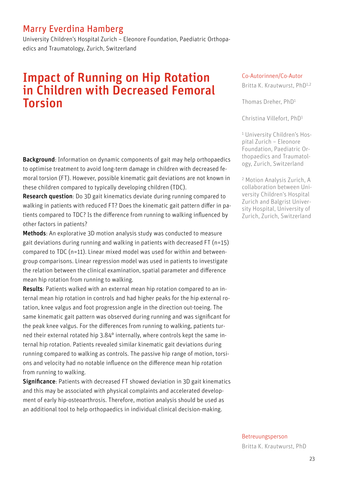### Marry Everdina Hamberg

University Children's Hospital Zurich – Eleonore Foundation, Paediatric Orthopaedics and Traumatology, Zurich, Switzerland

## Impact of Running on Hip Rotation in Children with Decreased Femoral Torsion

**Background:** Information on dynamic components of gait may help orthopaedics to optimise treatment to avoid long-term damage in children with decreased femoral torsion (FT). However, possible kinematic gait deviations are not known in these children compared to typically developing children (TDC).

Research question: Do 3D gait kinematics deviate during running compared to walking in patients with reduced FT? Does the kinematic gait pattern differ in patients compared to TDC? Is the difference from running to walking influenced by other factors in patients?

Methods: An explorative 3D motion analysis study was conducted to measure gait deviations during running and walking in patients with decreased FT (n=15) compared to TDC (n=11). Linear mixed model was used for within and betweengroup comparisons. Linear regression model was used in patients to investigate the relation between the clinical examination, spatial parameter and difference mean hip rotation from running to walking.

Results: Patients walked with an external mean hip rotation compared to an internal mean hip rotation in controls and had higher peaks for the hip external rotation, knee valgus and foot progression angle in the direction out-toeing. The same kinematic gait pattern was observed during running and was significant for the peak knee valgus. For the differences from running to walking, patients turned their external rotated hip 3.84° internally, where controls kept the same internal hip rotation. Patients revealed similar kinematic gait deviations during running compared to walking as controls. The passive hip range of motion, torsions and velocity had no notable influence on the difference mean hip rotation from running to walking.

Significance: Patients with decreased FT showed deviation in 3D gait kinematics and this may be associated with physical complaints and accelerated development of early hip-osteoarthrosis. Therefore, motion analysis should be used as an additional tool to help orthopaedics in individual clinical decision-making.

#### Co-Autorinnen/Co-Autor

Britta K. Krautwurst, PhD1,2

Thomas Dreher, PhD1

Christina Villefort, PhD1

1 University Children's Hospital Zurich – Eleonore Foundation, Paediatric Orthopaedics and Traumatology, Zurich, Switzerland

2 Motion Analysis Zurich, A collaboration between University Children's Hospital Zurich and Balgrist University Hospital, University of Zurich, Zurich, Switzerland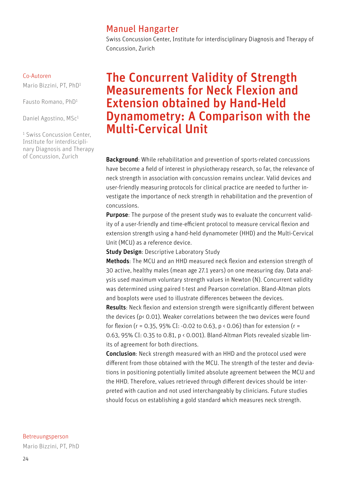### Manuel Hangarter

Swiss Concussion Center, Institute for interdisciplinary Diagnosis and Therapy of Concussion, Zurich

#### Co-Autoren

Mario Bizzini, PT, PhD<sup>1</sup>

Fausto Romano, PhD1

Daniel Agostino, MSc<sup>1</sup>

1 Swiss Concussion Center, Institute for interdisciplinary Diagnosis and Therapy of Concussion, Zurich

## The Concurrent Validity of Strength Measurements for Neck Flexion and Extension obtained by Hand-Held Dynamometry: A Comparison with the Multi-Cervical Unit

Background: While rehabilitation and prevention of sports-related concussions have become a field of interest in physiotherapy research, so far, the relevance of neck strength in association with concussion remains unclear. Valid devices and user-friendly measuring protocols for clinical practice are needed to further investigate the importance of neck strength in rehabilitation and the prevention of concussions.

Purpose: The purpose of the present study was to evaluate the concurrent validity of a user-friendly and time-efficient protocol to measure cervical flexion and extension strength using a hand-held dynamometer (HHD) and the Multi-Cervical Unit (MCU) as a reference device.

**Study Design: Descriptive Laboratory Study** 

Methods: The MCU and an HHD measured neck flexion and extension strength of 30 active, healthy males (mean age 27.1 years) on one measuring day. Data analysis used maximum voluntary strength values in Newton (N). Concurrent validity was determined using paired t-test and Pearson correlation. Bland-Altman plots and boxplots were used to illustrate differences between the devices.

Results: Neck flexion and extension strength were significantly different between the devices (p< 0.01). Weaker correlations between the two devices were found for flexion (r = 0.35, 95% CI: -0.02 to 0.63,  $p < 0.06$ ) than for extension (r = 0.63, 95% CI: 0.35 to 0.81, p < 0.001). Bland-Altman Plots revealed sizable limits of agreement for both directions.

Conclusion: Neck strength measured with an HHD and the protocol used were different from those obtained with the MCU. The strength of the tester and deviations in positioning potentially limited absolute agreement between the MCU and the HHD. Therefore, values retrieved through different devices should be interpreted with caution and not used interchangeably by clinicians. Future studies should focus on establishing a gold standard which measures neck strength.

Betreuungsperson Mario Bizzini, PT, PhD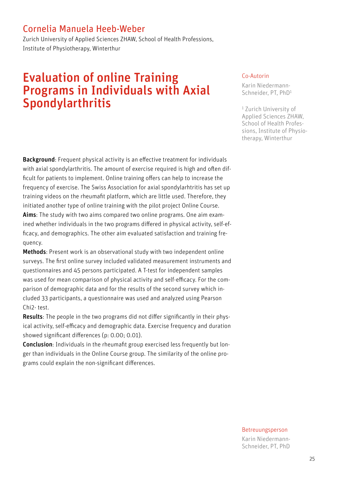### Cornelia Manuela Heeb-Weber

Zurich University of Applied Sciences ZHAW, School of Health Professions, Institute of Physiotherapy, Winterthur

## Evaluation of online Training Programs in Individuals with Axial **Spondylarthritis**

Background: Frequent physical activity is an effective treatment for individuals with axial spondylarthritis. The amount of exercise required is high and often difficult for patients to implement. Online training offers can help to increase the frequency of exercise. The Swiss Association for axial spondylarhtritis has set up training videos on the rheumafit platform, which are little used. Therefore, they initiated another type of online training with the pilot project Online Course.

Aims: The study with two aims compared two online programs. One aim examined whether individuals in the two programs differed in physical activity, self-efficacy, and demographics. The other aim evaluated satisfaction and training frequency.

Methods: Present work is an observational study with two independent online surveys. The first online survey included validated measurement instruments and questionnaires and 45 persons participated. A T-test for independent samples was used for mean comparison of physical activity and self-efficacy. For the comparison of demographic data and for the results of the second survey which included 33 participants, a questionnaire was used and analyzed using Pearson Chi2- test.

Results: The people in the two programs did not differ significantly in their physical activity, self-efficacy and demographic data. Exercise frequency and duration showed significant differences (p: 0.00; 0.01).

Conclusion: Individuals in the rheumafit group exercised less frequently but longer than individuals in the Online Course group. The similarity of the online programs could explain the non-significant differences.

#### Co-Autorin

Karin Niedermann-Schneider, PT, PhD<sup>1</sup>

1 Zurich University of Applied Sciences ZHAW, School of Health Professions, Institute of Physiotherapy, Winterthur

### Betreuungsperson

Karin Niedermann-Schneider, PT, PhD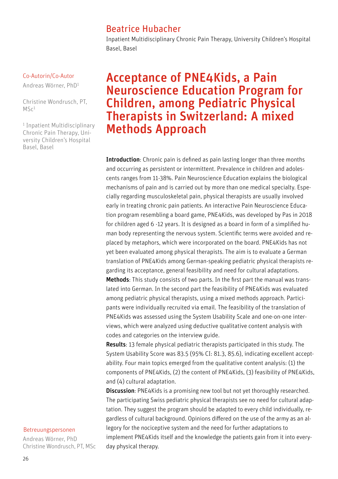### Beatrice Hubacher

Inpatient Multidisciplinary Chronic Pain Therapy, University Children's Hospital Basel, Basel

#### Co-Autorin/Co-Autor

Andreas Wörner, PhD1

Christine Wondrusch, PT,  $M$ Sc1

1 Inpatient Multidisciplinary Chronic Pain Therapy, University Children's Hospital Basel, Basel

## Acceptance of PNE4Kids, a Pain Neuroscience Education Program for Children, among Pediatric Physical Therapists in Switzerland: A mixed Methods Approach

Introduction: Chronic pain is defined as pain lasting longer than three months and occurring as persistent or intermittent. Prevalence in children and adolescents ranges from 11-38%. Pain Neuroscience Education explains the biological mechanisms of pain and is carried out by more than one medical specialty. Especially regarding musculoskeletal pain, physical therapists are usually involved early in treating chronic pain patients. An interactive Pain Neuroscience Education program resembling a board game, PNE4Kids, was developed by Pas in 2018 for children aged 6 -12 years. It is designed as a board in form of a simplified human body representing the nervous system. Scientific terms were avoided and replaced by metaphors, which were incorporated on the board. PNE4Kids has not yet been evaluated among physical therapists. The aim is to evaluate a German translation of PNE4Kids among German-speaking pediatric physical therapists regarding its acceptance, general feasibility and need for cultural adaptations. Methods: This study consists of two parts. In the first part the manual was translated into German. In the second part the feasibility of PNE4Kids was evaluated among pediatric physical therapists, using a mixed methods approach. Participants were individually recruited via email. The feasibility of the translation of PNE4Kids was assessed using the System Usability Scale and one-on-one interviews, which were analyzed using deductive qualitative content analysis with codes and categories on the interview guide.

Results: 13 female physical pediatric therapists participated in this study. The System Usability Score was 83.5 (95% CI: 81.3, 85.6), indicating excellent acceptability. Four main topics emerged from the qualitative content analysis: (1) the components of PNE4Kids, (2) the content of PNE4Kids, (3) feasibility of PNE4Kids, and (4) cultural adaptation.

**Discussion:** PNE4Kids is a promising new tool but not yet thoroughly researched. The participating Swiss pediatric physical therapists see no need for cultural adaptation. They suggest the program should be adapted to every child individually, regardless of cultural background. Opinions differed on the use of the army as an allegory for the nociceptive system and the need for further adaptations to implement PNE4Kids itself and the knowledge the patients gain from it into everyday physical therapy.

#### Betreuungspersonen

Andreas Wörner, PhD Christine Wondrusch, PT, MSc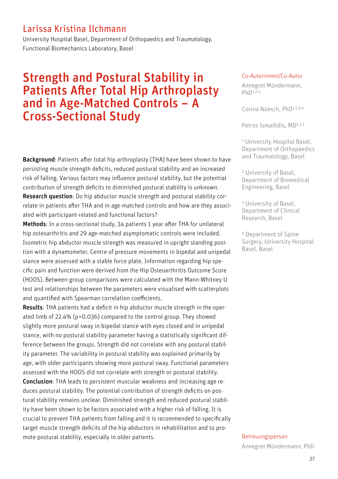### Larissa Kristina Ilchmann

University Hospital Basel, Department of Orthopaedics and Traumatology, Functional Biomechanics Laboratory, Basel

## Strength and Postural Stability in Patients After Total Hip Arthroplasty and in Age-Matched Controls – A Cross-Sectional Study

Background: Patients after total hip arthroplasty (THA) have been shown to have persisting muscle strength deficits, reduced postural stability and an increased risk of falling. Various factors may influence postural stability, but the potential contribution of strength deficits to diminished postural stability is unknown. Research question: Do hip abductor muscle strength and postural stability correlate in patients after THA and in age-matched controls and how are they associated with participant-related and functional factors?

Methods: In a cross-sectional study, 34 patients 1 year after THA for unilateral hip osteoarthritis and 29 age-matched asymptomatic controls were included. Isometric hip abductor muscle strength was measured in upright standing position with a dynamometer. Centre of pressure movements in bipedal and unipedal stance were assessed with a stable force plate. Information regarding hip specific pain and function were derived from the Hip Osteoarthritis Outcome Score (HOOS). Between-group comparisons were calculated with the Mann-Whitney U test and relationships between the parameters were visualised with scatterplots and quantified with Spearman correlation coefficients.

Results: THA patients had a deficit in hip abductor muscle strength in the operated limb of 22.4% (p=0.036) compared to the control group. They showed slightly more postural sway in bipedal stance with eyes closed and in unipedal stance, with no postural stability parameter having a statistically significant difference between the groups. Strength did not correlate with any postural stability parameter. The variability in postural stability was explained primarily by age, with older participants showing more postural sway. Functional parameters assessed with the HOOS did not correlate with strength or postural stability.

Conclusion: THA leads to persistent muscular weakness and increasing age reduces postural stability. The potential contribution of strength deficits on postural stability remains unclear. Diminished strength and reduced postural stability have been shown to be factors associated with a higher risk of falling. It is crucial to prevent THA patients from falling and it is recommended to specifically target muscle strength deficits of the hip abductors in rehabilitation and to promote postural stability, especially in older patients.

#### Co-Autorinnen/Co-Autor

Annegret Mündermann,  $PhD<sup>1,2,3</sup>$ 

Corina Nüesch, PhD1,2,3,4

Petros Ismailidis, MD1,2,3

1 University Hospital Basel, Department of Orthopaedics and Traumatology, Basel

2 University of Basel, Department of Biomedical Engineering, Basel

3 University of Basel, Department of Clinical Research, Basel

4 Department of Spine Surgery, University Hospital Basel, Basel

Betreuungsperson Annegret Mündermann, PhD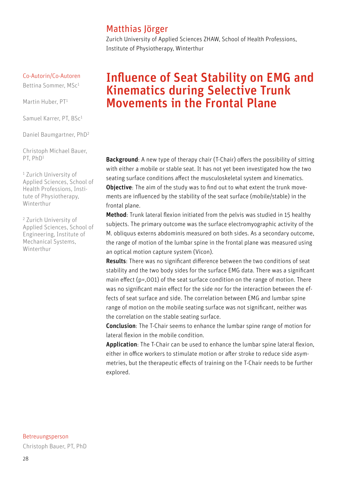## Matthias Jörger

Zurich University of Applied Sciences ZHAW, School of Health Professions, Institute of Physiotherapy, Winterthur

#### Co-Autorin/Co-Autoren

Bettina Sommer, MSc1

Martin Huber, PT1

Samuel Karrer, PT, BSc1

Daniel Baumgartner, PhD2

Christoph Michael Bauer,  $PT$ ,  $PhD<sup>1</sup>$ 

1 Zurich University of Applied Sciences, School of Health Professions, Institute of Physiotherapy, Winterthur

2 Zurich University of Applied Sciences, School of Engineering, Institute of Mechanical Systems, Winterthur

## Influence of Seat Stability on EMG and Kinematics during Selective Trunk Movements in the Frontal Plane

**Background:** A new type of therapy chair (T-Chair) offers the possibility of sitting with either a mobile or stable seat. It has not yet been investigated how the two seating surface conditions affect the musculoskeletal system and kinematics. **Objective**: The aim of the study was to find out to what extent the trunk movements are influenced by the stability of the seat surface (mobile/stable) in the frontal plane.

Method: Trunk lateral flexion initiated from the pelvis was studied in 15 healthy subjects. The primary outcome was the surface electromyographic activity of the M. obliquus externs abdominis measured on both sides. As a secondary outcome, the range of motion of the lumbar spine in the frontal plane was measured using an optical motion capture system (Vicon).

Results: There was no significant difference between the two conditions of seat stability and the two body sides for the surface EMG data. There was a significant main effect (p=,001) of the seat surface condition on the range of motion. There was no significant main effect for the side nor for the interaction between the effects of seat surface and side. The correlation between EMG and lumbar spine range of motion on the mobile seating surface was not significant, neither was the correlation on the stable seating surface.

Conclusion: The T-Chair seems to enhance the lumbar spine range of motion for lateral flexion in the mobile condition.

Application: The T-Chair can be used to enhance the lumbar spine lateral flexion, either in office workers to stimulate motion or after stroke to reduce side asymmetries, but the therapeutic effects of training on the T-Chair needs to be further explored.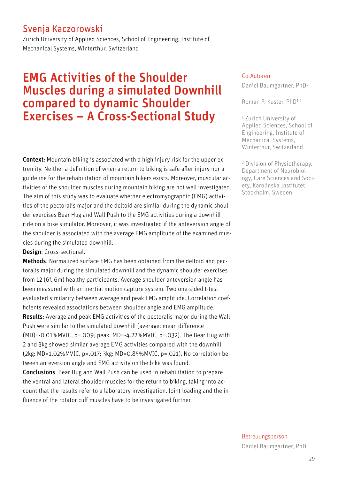### Svenja Kaczorowski

Zurich University of Applied Sciences, School of Engineering, Institute of Mechanical Systems, Winterthur, Switzerland

## EMG Activities of the Shoulder Muscles during a simulated Downhill compared to dynamic Shoulder Exercises – A Cross-Sectional Study

Context: Mountain biking is associated with a high injury risk for the upper extremity. Neither a definition of when a return to biking is safe after injury nor a guideline for the rehabilitation of mountain bikers exists. Moreover, muscular activities of the shoulder muscles during mountain biking are not well investigated. The aim of this study was to evaluate whether electromyographic (EMG) activities of the pectoralis major and the deltoid are similar during the dynamic shoulder exercises Bear Hug and Wall Push to the EMG activities during a downhill ride on a bike simulator. Moreover, it was investigated if the anteversion angle of the shoulder is associated with the average EMG amplitude of the examined muscles during the simulated downhill.

Design: Cross-sectional.

Methods: Normalized surface EMG has been obtained from the deltoid and pectoralis major during the simulated downhill and the dynamic shoulder exercises from 12 (6f, 6m) healthy participants. Average shoulder anteversion angle has been measured with an inertial motion capture system. Two one-sided t-test evaluated similarity between average and peak EMG amplitude. Correlation coefficients revealed associations between shoulder angle and EMG amplitude. Results: Average and peak EMG activities of the pectoralis major during the Wall Push were similar to the simulated downhill (average: mean difference (MD)=-0.01%MVIC, p=.009; peak: MD=-4.22%MVIC, p=.032). The Bear Hug with 2 and 3kg showed similar average EMG activities compared with the downhill (2kg: MD=1.02%MVIC, p=.017; 3kg: MD=0.85%MVIC, p=.021). No correlation between anteversion angle and EMG activity on the bike was found.

Conclusions: Bear Hug and Wall Push can be used in rehabilitation to prepare the ventral and lateral shoulder muscles for the return to biking, taking into account that the results refer to a laboratory investigation. Joint loading and the influence of the rotator cuff muscles have to be investigated further

#### Co-Autoren

Daniel Baumgartner, PhD1

Roman P. Kuster, PhD1,2

1 Zurich University of Applied Sciences, School of Engineering, Institute of Mechanical Systems, Winterthur, Switzerland

2 Division of Physiotherapy, Department of Neurobiology, Care Sciences and Society, Karolinska Institutet, Stockholm, Sweden

Betreuungsperson Daniel Baumgartner, PhD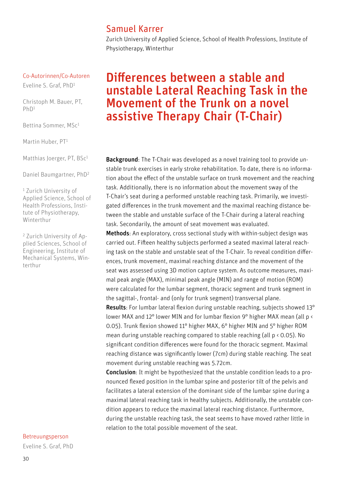### Samuel Karrer

Zurich University of Applied Science, School of Health Professions, Institute of Physiotherapy, Winterthur

#### Co-Autorinnen/Co-Autoren

Eveline S. Graf, PhD1

Christoph M. Bauer, PT,  $PhD1$ 

Bettina Sommer, MSc1

Martin Huber, PT1

Matthias Joerger, PT, BSc<sup>1</sup>

Daniel Baumgartner, PhD2

1 Zurich University of Applied Science, School of Health Professions, Institute of Physiotherapy, **Winterthur** 

2 Zurich University of Applied Sciences, School of Engineering, Institute of Mechanical Systems, Winterthur

Betreuungsperson Eveline S. Graf, PhD

## Differences between a stable and unstable Lateral Reaching Task in the Movement of the Trunk on a novel assistive Therapy Chair (T-Chair)

Background: The T-Chair was developed as a novel training tool to provide unstable trunk exercises in early stroke rehabilitation. To date, there is no information about the effect of the unstable surface on trunk movement and the reaching task. Additionally, there is no information about the movement sway of the T-Chair's seat during a performed unstable reaching task. Primarily, we investigated differences in the trunk movement and the maximal reaching distance between the stable and unstable surface of the T-Chair during a lateral reaching task. Secondarily, the amount of seat movement was evaluated.

Methods: An exploratory, cross sectional study with within-subject design was carried out. Fifteen healthy subjects performed a seated maximal lateral reaching task on the stable and unstable seat of the T-Chair. To reveal condition differences, trunk movement, maximal reaching distance and the movement of the seat was assessed using 3D motion capture system. As outcome measures, maximal peak angle (MAX), minimal peak angle (MIN) and range of motion (ROM) were calculated for the lumbar segment, thoracic segment and trunk segment in the sagittal-, frontal- and (only for trunk segment) transversal plane. Results: For lumbar lateral flexion during unstable reaching, subjects showed 13° lower MAX and 12° lower MIN and for lumbar flexion 9° higher MAX mean (all p < 0.05). Trunk flexion showed 11° higher MAX, 6° higher MIN and 5° higher ROM mean during unstable reaching compared to stable reaching (all p < 0.05). No significant condition differences were found for the thoracic segment. Maximal reaching distance was significantly lower (7cm) during stable reaching. The seat movement during unstable reaching was 5.72cm.

Conclusion: It might be hypothesized that the unstable condition leads to a pronounced flexed position in the lumbar spine and posterior tilt of the pelvis and facilitates a lateral extension of the dominant side of the lumbar spine during a maximal lateral reaching task in healthy subjects. Additionally, the unstable condition appears to reduce the maximal lateral reaching distance. Furthermore, during the unstable reaching task, the seat seems to have moved rather little in relation to the total possible movement of the seat.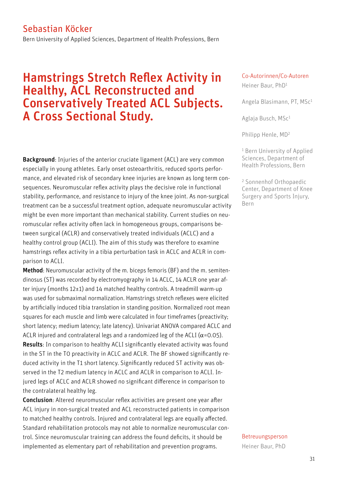### Sebastian Köcker

Bern University of Applied Sciences, Department of Health Professions, Bern

## Hamstrings Stretch Reflex Activity in Healthy, ACL Reconstructed and Conservatively Treated ACL Subjects. A Cross Sectional Study.

**Background:** Injuries of the anterior cruciate ligament (ACL) are very common especially in young athletes. Early onset osteoarthritis, reduced sports performance, and elevated risk of secondary knee injuries are known as long term consequences. Neuromuscular reflex activity plays the decisive role in functional stability, performance, and resistance to injury of the knee joint. As non-surgical treatment can be a successful treatment option, adequate neuromuscular activity might be even more important than mechanical stability. Current studies on neuromuscular reflex activity often lack in homogeneous groups, comparisons between surgical (ACLR) and conservatively treated individuals (ACLC) and a healthy control group (ACLI). The aim of this study was therefore to examine hamstrings reflex activity in a tibia perturbation task in ACLC and ACLR in comparison to ACLI.

Method: Neuromuscular activity of the m. biceps femoris (BF) and the m. semitendinosus (ST) was recorded by electromyography in 14 ACLC, 14 ACLR one year after injury (months 12±1) and 14 matched healthy controls. A treadmill warm-up was used for submaximal normalization. Hamstrings stretch reflexes were elicited by artificially induced tibia translation in standing position. Normalized root mean squares for each muscle and limb were calculated in four timeframes (preactivity; short latency; medium latency; late latency). Univariat ANOVA compared ACLC and ACLR injured and contralateral legs and a randomized leg of the ACLI ( $\alpha$ =0.05).

Results: In comparison to healthy ACLI significantly elevated activity was found in the ST in the T0 preactivity in ACLC and ACLR. The BF showed significantly reduced activity in the T1 short latency. Significantly reduced ST activity was observed in the T2 medium latency in ACLC and ACLR in comparison to ACLI. Injured legs of ACLC and ACLR showed no significant difference in comparison to the contralateral healthy leg.

Conclusion: Altered neuromuscular reflex activities are present one year after ACL injury in non-surgical treated and ACL reconstructed patients in comparison to matched healthy controls. Injured and contralateral legs are equally affected. Standard rehabilitation protocols may not able to normalize neuromuscular control. Since neuromuscular training can address the found deficits, it should be implemented as elementary part of rehabilitation and prevention programs.

#### Co-Autorinnen/Co-Autoren

Heiner Baur, PhD1

Angela Blasimann, PT, MSc1

Aglaja Busch, MSc1

Philipp Henle, MD2

1 Bern University of Applied Sciences, Department of Health Professions, Bern

2 Sonnenhof Orthopaedic Center, Department of Knee Surgery and Sports Injury, Bern

Betreuungsperson Heiner Baur, PhD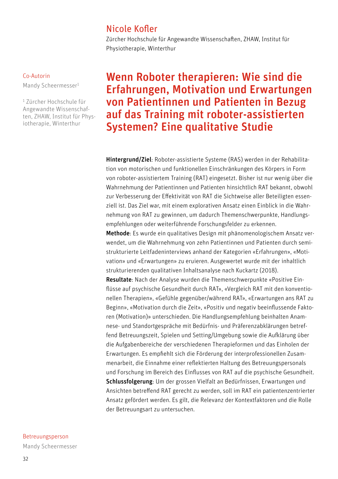### Nicole Kofler

Zürcher Hochschule für Angewandte Wissenschaften, ZHAW, Institut für Physiotherapie, Winterthur

#### Co-Autorin

Mandy Scheermesser<sup>1</sup>

1 Zürcher Hochschule für Angewandte Wissenschaften, ZHAW, Institut für Physiotherapie, Winterthur

## Wenn Roboter therapieren: Wie sind die Erfahrungen, Motivation und Erwartungen von Patientinnen und Patienten in Bezug auf das Training mit roboter-assistierten Systemen? Eine qualitative Studie

Hintergrund/Ziel: Roboter-assistierte Systeme (RAS) werden in der Rehabilitation von motorischen und funktionellen Einschränkungen des Körpers in Form von roboter-assistiertem Training (RAT) eingesetzt. Bisher ist nur wenig über die Wahrnehmung der Patientinnen und Patienten hinsichtlich RAT bekannt, obwohl zur Verbesserung der Effektivität von RAT die Sichtweise aller Beteiligten essenziell ist. Das Ziel war, mit einem explorativen Ansatz einen Einblick in die Wahrnehmung von RAT zu gewinnen, um dadurch Themenschwerpunkte, Handlungsempfehlungen oder weiterführende Forschungsfelder zu erkennen.

Methode: Es wurde ein qualitatives Design mit phänomenologischem Ansatz verwendet, um die Wahrnehmung von zehn Patientinnen und Patienten durch semistrukturierte Leitfadeninterviews anhand der Kategorien «Erfahrungen», «Motivation» und «Erwartungen» zu eruieren. Ausgewertet wurde mit der inhaltlich strukturierenden qualitativen Inhaltsanalyse nach Kuckartz (2018).

Resultate: Nach der Analyse wurden die Themenschwerpunkte «Positive Einflüsse auf psychische Gesundheit durch RAT», «Vergleich RAT mit den konventionellen Therapien», «Gefühle gegenüber/während RAT», «Erwartungen ans RAT zu Beginn», «Motivation durch die Zeit», «Positiv und negativ beeinflussende Faktoren (Motivation)» unterschieden. Die Handlungsempfehlung beinhalten Anamnese- und Standortgespräche mit Bedürfnis- und Präferenzabklärungen betreffend Betreuungszeit, Spielen und Setting/Umgebung sowie die Aufklärung über die Aufgabenbereiche der verschiedenen Therapieformen und das Einholen der Erwartungen. Es empfiehlt sich die Förderung der interprofessionellen Zusammenarbeit, die Einnahme einer reflektierten Haltung des Betreuungspersonals und Forschung im Bereich des Einflusses von RAT auf die psychische Gesundheit. Schlussfolgerung: Um der grossen Vielfalt an Bedürfnissen, Erwartungen und Ansichten betreffend RAT gerecht zu werden, soll im RAT ein patientenzentrierter Ansatz gefördert werden. Es gilt, die Relevanz der Kontextfaktoren und die Rolle der Betreuungsart zu untersuchen.

Betreuungsperson Mandy Scheermesser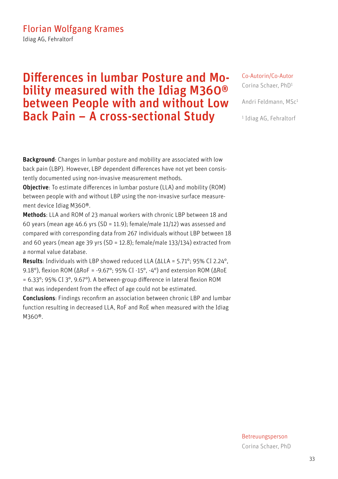## Florian Wolfgang Krames

Idiag AG, Fehraltorf

## Differences in lumbar Posture and Mobility measured with the Idiag M360® between People with and without Low Back Pain – A cross-sectional Study

**Background:** Changes in lumbar posture and mobility are associated with low back pain (LBP). However, LBP dependent differences have not yet been consistently documented using non-invasive measurement methods.

Objective: To estimate differences in lumbar posture (LLA) and mobility (ROM) between people with and without LBP using the non-invasive surface measurement device Idiag M360®.

Methods: LLA and ROM of 23 manual workers with chronic LBP between 18 and 60 years (mean age 46.6 yrs (SD = 11.9); female/male 11/12) was assessed and compared with corresponding data from 267 individuals without LBP between 18 and 60 years (mean age 39 yrs (SD = 12.8); female/male 133/134) extracted from a normal value database.

Results: Individuals with LBP showed reduced LLA (ΔLLA = 5.71°; 95% CI 2.24°, 9.18°), flexion ROM (ΔRoF = -9.67°; 95% CI -15°, -4°) and extension ROM (ΔRoE = 6.33°; 95% CI 3°, 9.67°). A between-group difference in lateral flexion ROM that was independent from the effect of age could not be estimated.

Conclusions: Findings reconfirm an association between chronic LBP and lumbar function resulting in decreased LLA, RoF and RoE when measured with the Idiag M360®.

Co-Autorin/Co-Autor Corina Schaer, PhD1

Andri Feldmann, MSc1

1 Idiag AG, Fehraltorf

Betreuungsperson Corina Schaer, PhD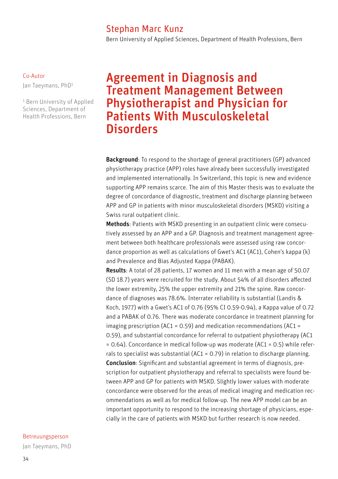### Stephan Marc Kunz

Bern University of Applied Sciences, Department of Health Professions, Bern

#### Co-Autor

Jan Taeymans, PhD1

1 Bern University of Applied Sciences, Department of Health Professions, Bern

## Agreement in Diagnosis and Treatment Management Between Physiotherapist and Physician for Patients With Musculoskeletal **Disorders**

Background: To respond to the shortage of general practitioners (GP) advanced physiotherapy practice (APP) roles have already been successfully investigated and implemented internationally. In Switzerland, this topic is new and evidence supporting APP remains scarce. The aim of this Master thesis was to evaluate the degree of concordance of diagnostic, treatment and discharge planning between APP and GP in patients with minor musculoskeletal disorders (MSKD) visiting a Swiss rural outpatient clinic.

Methods: Patients with MSKD presenting in an outpatient clinic were consecutively assessed by an APP and a GP. Diagnosis and treatment management agreement between both healthcare professionals were assessed using raw concordance proportion as well as calculations of Gwet's AC1 (AC1), Cohen's kappa (k) and Prevalence and Bias Adjusted Kappa (PABAK).

Results: A total of 28 patients, 17 women and 11 men with a mean age of 50.07 (SD 18.7) years were recruited for the study. About 54% of all disorders affected the lower extremity, 25% the upper extremity and 21% the spine. Raw concordance of diagnoses was 78.6%. Interrater reliability is substantial (Landis & Koch, 1977) with a Gwet's AC1 of 0.76 (95% CI 0.59-0.94), a Kappa value of 0.72 and a PABAK of 0.76. There was moderate concordance in treatment planning for imaging prescription (AC1 = 0.59) and medication recommendations (AC1 = 0.59), and substantial concordance for referral to outpatient physiotherapy (AC1  $= 0.64$ ). Concordance in medical follow-up was moderate (AC1  $= 0.5$ ) while referrals to specialist was substantial ( $AC1 = 0.79$ ) in relation to discharge planning. Conclusion: Significant and substantial agreement in terms of diagnosis, prescription for outpatient physiotherapy and referral to specialists were found between APP and GP for patients with MSKD. Slightly lower values with moderate concordance were observed for the areas of medical imaging and medication recommendations as well as for medical follow-up. The new APP model can be an important opportunity to respond to the increasing shortage of physicians, especially in the care of patients with MSKD but further research is now needed.

Betreuungsperson Jan Taeymans, PhD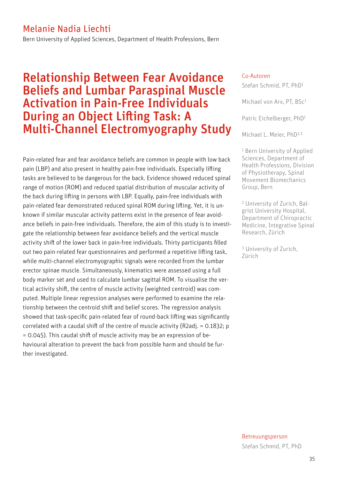### Melanie Nadia Liechti

Bern University of Applied Sciences, Department of Health Professions, Bern

## Relationship Between Fear Avoidance Beliefs and Lumbar Paraspinal Muscle Activation in Pain-Free Individuals During an Object Lifting Task: A Multi-Channel Electromyography Study

Pain-related fear and fear avoidance beliefs are common in people with low back pain (LBP) and also present in healthy pain-free individuals. Especially lifting tasks are believed to be dangerous for the back. Evidence showed reduced spinal range of motion (ROM) and reduced spatial distribution of muscular activity of the back during lifting in persons with LBP. Equally, pain-free individuals with pain-related fear demonstrated reduced spinal ROM during lifting. Yet, it is unknown if similar muscular activity patterns exist in the presence of fear avoidance beliefs in pain-free individuals. Therefore, the aim of this study is to investigate the relationship between fear avoidance beliefs and the vertical muscle activity shift of the lower back in pain-free individuals. Thirty participants filled out two pain-related fear questionnaires and performed a repetitive lifting task, while multi-channel electromyographic signals were recorded from the lumbar erector spinae muscle. Simultaneously, kinematics were assessed using a full body marker set and used to calculate lumbar sagittal ROM. To visualise the vertical activity shift, the centre of muscle activity (weighted centroid) was computed. Multiple linear regression analyses were performed to examine the relationship between the centroid shift and belief scores. The regression analysis showed that task-specific pain-related fear of round-back lifting was significantly correlated with a caudal shift of the centre of muscle activity (R2adj. = 0.1832; p = 0.045). This caudal shift of muscle activity may be an expression of behavioural alteration to prevent the back from possible harm and should be further investigated.

#### Co-Autoren

Stefan Schmid, PT, PhD1

Michael von Arx, PT, BSc<sup>1</sup>

Patric Eichelberger, PhD1

Michael L. Meier, PhD2,3

1 Bern University of Applied Sciences, Department of Health Professions, Division of Physiotherapy, Spinal Movement Biomechanics Group, Bern

2 University of Zurich, Balgrist University Hospital, Department of Chiropractic Medicine, Integrative Spinal Research, Zürich

3 University of Zurich, Zürich

Betreuungsperson Stefan Schmid, PT, PhD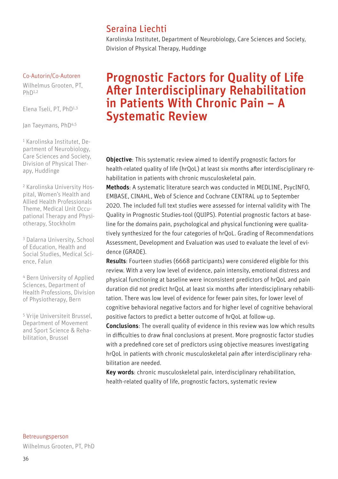## Seraina Liechti

Karolinska Institutet, Department of Neurobiology, Care Sciences and Society, Division of Physical Therapy, Huddinge

#### Co-Autorin/Co-Autoren

Wilhelmus Grooten, PT  $PhD<sup>1,2</sup>$ 

Elena Tseli, PT, PhD1,3

Jan Taeymans, PhD4,5

1 Karolinska Institutet, Department of Neurobiology, Care Sciences and Society, Division of Physical Therapy, Huddinge

2 Karolinska University Hospital, Women's Health and Allied Health Professionals Theme, Medical Unit Occupational Therapy and Physiotherapy, Stockholm

3 Dalarna University, School of Education, Health and Social Studies, Medical Science, Falun

4 Bern University of Applied Sciences, Department of Health Professions, Division of Physiotherapy, Bern

5 Vrije Universiteit Brussel, Department of Movement and Sport Science & Rehabilitation, Brussel

## Prognostic Factors for Quality of Life After Interdisciplinary Rehabilitation in Patients With Chronic Pain – A Systematic Review

**Objective**: This systematic review aimed to identify prognostic factors for health-related quality of life (hrQoL) at least six months after interdisciplinary rehabilitation in patients with chronic musculoskeletal pain.

Methods: A systematic literature search was conducted in MEDLINE, PsycINFO, EMBASE, CINAHL, Web of Science and Cochrane CENTRAL up to September 2020. The included full text studies were assessed for internal validity with The Quality in Prognostic Studies-tool (QUIPS). Potential prognostic factors at baseline for the domains pain, psychological and physical functioning were qualitatively synthesized for the four categories of hrQoL. Grading of Recommendations Assessment, Development and Evaluation was used to evaluate the level of evidence (GRADE).

Results: Fourteen studies (6668 participants) were considered eligible for this review. With a very low level of evidence, pain intensity, emotional distress and physical functioning at baseline were inconsistent predictors of hrQoL and pain duration did not predict hrQoL at least six months after interdisciplinary rehabilitation. There was low level of evidence for fewer pain sites, for lower level of cognitive behavioral negative factors and for higher level of cognitive behavioral positive factors to predict a better outcome of hrQoL at follow-up.

Conclusions: The overall quality of evidence in this review was low which results in difficulties to draw final conclusions at present. More prognostic factor studies with a predefined core set of predictors using objective measures investigating hrQoL in patients with chronic musculoskeletal pain after interdisciplinary rehabilitation are needed.

Key words: chronic musculoskeletal pain, interdisciplinary rehabilitation, health-related quality of life, prognostic factors, systematic review

Betreuungsperson Wilhelmus Grooten, PT, PhD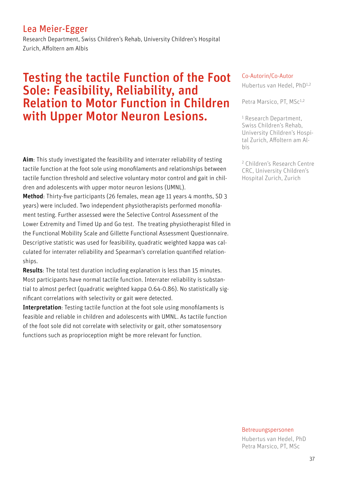### Lea Meier-Egger

Research Department, Swiss Children's Rehab, University Children's Hospital Zurich, Affoltern am Albis

## Testing the tactile Function of the Foot Sole: Feasibility, Reliability, and Relation to Motor Function in Children with Upper Motor Neuron Lesions.

Aim: This study investigated the feasibility and interrater reliability of testing tactile function at the foot sole using monofilaments and relationships between tactile function threshold and selective voluntary motor control and gait in children and adolescents with upper motor neuron lesions (UMNL).

Method: Thirty-five participants (26 females, mean age 11 years 4 months, SD 3 years) were included. Two independent physiotherapists performed monofilament testing. Further assessed were the Selective Control Assessment of the Lower Extremity and Timed Up and Go test. The treating physiotherapist filled in the Functional Mobility Scale and Gillette Functional Assessment Questionnaire. Descriptive statistic was used for feasibility, quadratic weighted kappa was calculated for interrater reliability and Spearman's correlation quantified relationships.

Results: The total test duration including explanation is less than 15 minutes. Most participants have normal tactile function. Interrater reliability is substantial to almost perfect (quadratic weighted kappa 0.64-0.86). No statistically significant correlations with selectivity or gait were detected.

Interpretation: Testing tactile function at the foot sole using monofilaments is feasible and reliable in children and adolescents with UMNL. As tactile function of the foot sole did not correlate with selectivity or gait, other somatosensory functions such as proprioception might be more relevant for function.

#### Co-Autorin/Co-Autor

Hubertus van Hedel, PhD1,2

Petra Marsico, PT, MSc<sup>1,2</sup>

1 Research Department, Swiss Children's Rehab, University Children's Hospital Zurich, Affoltern am Albis

2 Children's Research Centre CRC, University Children's Hospital Zurich, Zurich

## Betreuungspersonen

Hubertus van Hedel, PhD Petra Marsico, PT, MSc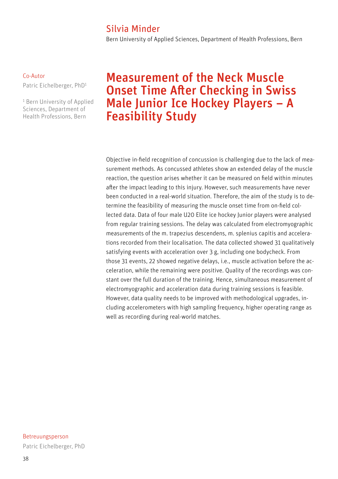### Silvia Minder

Bern University of Applied Sciences, Department of Health Professions, Bern

#### Co-Autor

Patric Eichelberger, PhD1

1 Bern University of Applied Sciences, Department of Health Professions, Bern

## Measurement of the Neck Muscle Onset Time After Checking in Swiss Male Junior Ice Hockey Players – A Feasibility Study

Objective in-field recognition of concussion is challenging due to the lack of measurement methods. As concussed athletes show an extended delay of the muscle reaction, the question arises whether it can be measured on field within minutes after the impact leading to this injury. However, such measurements have never been conducted in a real-world situation. Therefore, the aim of the study is to determine the feasibility of measuring the muscle onset time from on-field collected data. Data of four male U20 Elite ice hockey Junior players were analysed from regular training sessions. The delay was calculated from electromyographic measurements of the m. trapezius descendens, m. splenius capitis and accelerations recorded from their localisation. The data collected showed 31 qualitatively satisfying events with acceleration over 3 g, including one bodycheck. From those 31 events, 22 showed negative delays, i.e., muscle activation before the acceleration, while the remaining were positive. Quality of the recordings was constant over the full duration of the training. Hence, simultaneous measurement of electromyographic and acceleration data during training sessions is feasible. However, data quality needs to be improved with methodological upgrades, including accelerometers with high sampling frequency, higher operating range as well as recording during real-world matches.

Betreuungsperson Patric Eichelberger, PhD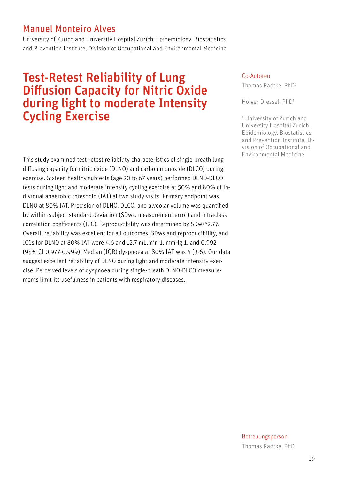### Manuel Monteiro Alves

University of Zurich and University Hospital Zurich, Epidemiology, Biostatistics and Prevention Institute, Division of Occupational and Environmental Medicine

## Test-Retest Reliability of Lung Diffusion Capacity for Nitric Oxide during light to moderate Intensity Cycling Exercise

This study examined test-retest reliability characteristics of single-breath lung diffusing capacity for nitric oxide (DLNO) and carbon monoxide (DLCO) during exercise. Sixteen healthy subjects (age 20 to 67 years) performed DLNO-DLCO tests during light and moderate intensity cycling exercise at 50% and 80% of individual anaerobic threshold (IAT) at two study visits. Primary endpoint was DLNO at 80% IAT. Precision of DLNO, DLCO, and alveolar volume was quantified by within-subject standard deviation (SDws, measurement error) and intraclass correlation coefficients (ICC). Reproducibility was determined by SDws\*2.77. Overall, reliability was excellent for all outcomes. SDws and reproducibility, and ICCs for DLNO at 80% IAT were 4.6 and 12.7 mL.min-1, mmHg-1, and 0.992 (95% CI 0.977-0.999). Median (IQR) dyspnoea at 80% IAT was 4 (3-6). Our data suggest excellent reliability of DLNO during light and moderate intensity exercise. Perceived levels of dyspnoea during single-breath DLNO-DLCO measurements limit its usefulness in patients with respiratory diseases.

#### Co-Autoren

Thomas Radtke, PhD1

Holger Dressel, PhD1

1 University of Zurich and University Hospital Zurich, Epidemiology, Biostatistics and Prevention Institute, Division of Occupational and Environmental Medicine

Betreuungsperson Thomas Radtke, PhD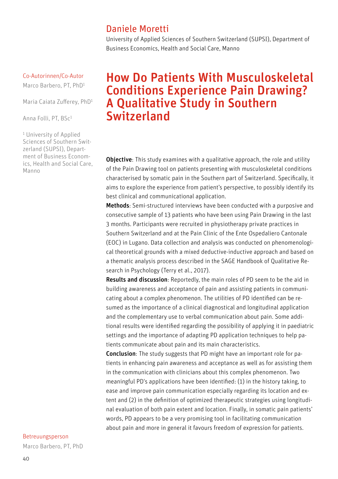### Daniele Moretti

University of Applied Sciences of Southern Switzerland (SUPSI), Department of Business Economics, Health and Social Care, Manno

Co-Autorinnen/Co-Autor Marco Barbero, PT, PhD1

Maria Caiata Zufferey, PhD1

Anna Folli, PT, BSc1

1 University of Applied Sciences of Southern Switzerland (SUPSI), Department of Business Economics, Health and Social Care, Manno

## How Do Patients With Musculoskeletal Conditions Experience Pain Drawing? A Qualitative Study in Southern Switzerland

**Objective**: This study examines with a qualitative approach, the role and utility of the Pain Drawing tool on patients presenting with musculoskeletal conditions characterised by somatic pain in the Southern part of Switzerland. Specifically, it aims to explore the experience from patient's perspective, to possibly identify its best clinical and communicational application.

Methods: Semi-structured interviews have been conducted with a purposive and consecutive sample of 13 patients who have been using Pain Drawing in the last 3 months. Participants were recruited in physiotherapy private practices in Southern Switzerland and at the Pain Clinic of the Ente Ospedaliero Cantonale (EOC) in Lugano. Data collection and analysis was conducted on phenomenological theoretical grounds with a mixed deductive-inductive approach and based on a thematic analysis process described in the SAGE Handbook of Qualitative Research in Psychology (Terry et al., 2017).

Results and discussion: Reportedly, the main roles of PD seem to be the aid in building awareness and acceptance of pain and assisting patients in communicating about a complex phenomenon. The utilities of PD identified can be resumed as the importance of a clinical diagnostical and longitudinal application and the complementary use to verbal communication about pain. Some additional results were identified regarding the possibility of applying it in paediatric settings and the importance of adapting PD application techniques to help patients communicate about pain and its main characteristics.

Conclusion: The study suggests that PD might have an important role for patients in enhancing pain awareness and acceptance as well as for assisting them in the communication with clinicians about this complex phenomenon. Two meaningful PD's applications have been identified: (1) in the history taking, to ease and improve pain communication especially regarding its location and extent and (2) in the definition of optimized therapeutic strategies using longitudinal evaluation of both pain extent and location. Finally, in somatic pain patients' words, PD appears to be a very promising tool in facilitating communication about pain and more in general it favours freedom of expression for patients.

Betreuungsperson Marco Barbero, PT, PhD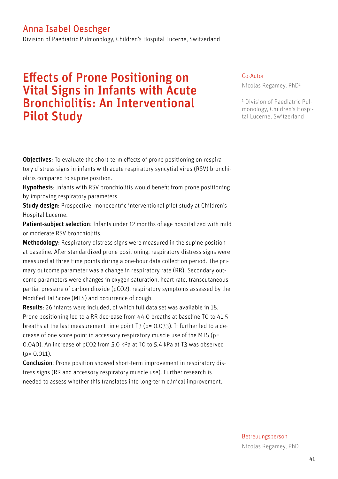### Anna Isabel Oeschger

Division of Paediatric Pulmonology, Children's Hospital Lucerne, Switzerland

## Effects of Prone Positioning on Vital Signs in Infants with Acute Bronchiolitis: An Interventional Pilot Study

#### Co-Autor

Nicolas Regamey, PhD1

1 Division of Paediatric Pulmonology, Children's Hospital Lucerne, Switzerland

**Objectives**: To evaluate the short-term effects of prone positioning on respiratory distress signs in infants with acute respiratory syncytial virus (RSV) bronchiolitis compared to supine position.

Hypothesis: Infants with RSV bronchiolitis would benefit from prone positioning by improving respiratory parameters.

Study design: Prospective, monocentric interventional pilot study at Children's Hospital Lucerne.

Patient-subject selection: Infants under 12 months of age hospitalized with mild or moderate RSV bronchiolitis.

Methodology: Respiratory distress signs were measured in the supine position at baseline. After standardized prone positioning, respiratory distress signs were measured at three time points during a one-hour data collection period. The primary outcome parameter was a change in respiratory rate (RR). Secondary outcome parameters were changes in oxygen saturation, heart rate, transcutaneous partial pressure of carbon dioxide (pCO2), respiratory symptoms assessed by the Modified Tal Score (MTS) and occurrence of cough.

Results: 26 infants were included, of which full data set was available in 18. Prone positioning led to a RR decrease from 44.0 breaths at baseline T0 to 41.5 breaths at the last measurement time point T3 (p= 0.033). It further led to a decrease of one score point in accessory respiratory muscle use of the MTS (p= 0.040). An increase of pCO2 from 5.0 kPa at T0 to 5.4 kPa at T3 was observed  $(p = 0.011)$ .

Conclusion: Prone position showed short-term improvement in respiratory distress signs (RR and accessory respiratory muscle use). Further research is needed to assess whether this translates into long-term clinical improvement.

> Betreuungsperson Nicolas Regamey, PhD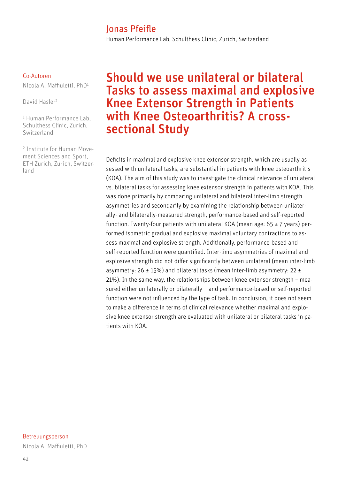### Jonas Pfeifle

Human Performance Lab, Schulthess Clinic, Zurich, Switzerland

#### Co-Autoren

Nicola A. Maffiuletti, PhD1

David Hasler2

1 Human Performance Lab, Schulthess Clinic, Zurich, Switzerland

2 Institute for Human Movement Sciences and Sport, ETH Zurich, Zurich, Switzerland

## Should we use unilateral or bilateral Tasks to assess maximal and explosive Knee Extensor Strength in Patients with Knee Osteoarthritis? A crosssectional Study

Deficits in maximal and explosive knee extensor strength, which are usually assessed with unilateral tasks, are substantial in patients with knee osteoarthritis (KOA). The aim of this study was to investigate the clinical relevance of unilateral vs. bilateral tasks for assessing knee extensor strength in patients with KOA. This was done primarily by comparing unilateral and bilateral inter-limb strength asymmetries and secondarily by examining the relationship between unilaterally- and bilaterally-measured strength, performance-based and self-reported function. Twenty-four patients with unilateral KOA (mean age:  $65 \pm 7$  years) performed isometric gradual and explosive maximal voluntary contractions to assess maximal and explosive strength. Additionally, performance-based and self-reported function were quantified. Inter-limb asymmetries of maximal and explosive strength did not differ significantly between unilateral (mean inter-limb asymmetry: 26  $\pm$  15%) and bilateral tasks (mean inter-limb asymmetry: 22  $\pm$ 21%). In the same way, the relationships between knee extensor strength – measured either unilaterally or bilaterally – and performance-based or self-reported function were not influenced by the type of task. In conclusion, it does not seem to make a difference in terms of clinical relevance whether maximal and explosive knee extensor strength are evaluated with unilateral or bilateral tasks in patients with KOA.

Betreuungsperson Nicola A. Maffiuletti, PhD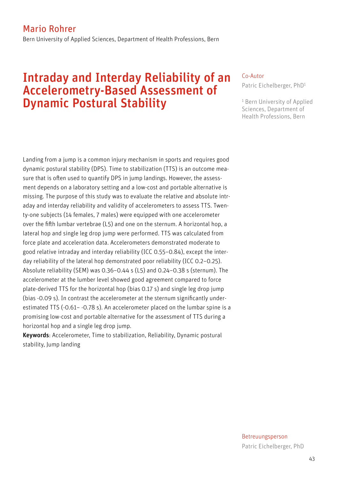## Intraday and Interday Reliability of an Accelerometry-Based Assessment of Dynamic Postural Stability

Co-Autor

Patric Eichelberger, PhD1

1 Bern University of Applied Sciences, Department of Health Professions, Bern

Landing from a jump is a common injury mechanism in sports and requires good dynamic postural stability (DPS). Time to stabilization (TTS) is an outcome measure that is often used to quantify DPS in jump landings. However, the assessment depends on a laboratory setting and a low-cost and portable alternative is missing. The purpose of this study was to evaluate the relative and absolute intraday and interday reliability and validity of accelerometers to assess TTS. Twenty-one subjects (14 females, 7 males) were equipped with one accelerometer over the fifth lumbar vertebrae (L5) and one on the sternum. A horizontal hop, a lateral hop and single leg drop jump were performed. TTS was calculated from force plate and acceleration data. Accelerometers demonstrated moderate to good relative intraday and interday reliability (ICC 0.55–0.84), except the interday reliability of the lateral hop demonstrated poor reliability (ICC 0.2–0.25). Absolute reliability (SEM) was 0.36–0.44 s (L5) and 0.24–0.38 s (sternum). The accelerometer at the lumber level showed good agreement compared to force plate-derived TTS for the horizontal hop (bias 0.17 s) and single leg drop jump (bias -0.09 s). In contrast the accelerometer at the sternum significantly underestimated TTS (-0.61– -0.78 s). An accelerometer placed on the lumbar spine is a promising low-cost and portable alternative for the assessment of TTS during a horizontal hop and a single leg drop jump.

Keywords: Accelerometer, Time to stabilization, Reliability, Dynamic postural stability, Jump landing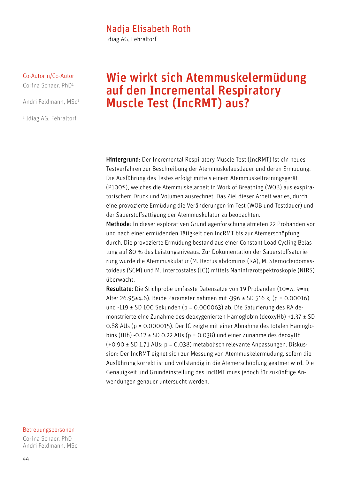### Nadja Elisabeth Roth

Idiag AG, Fehraltorf

Co-Autorin/Co-Autor

Corina Schaer, PhD1

Andri Feldmann, MSc1

1 Idiag AG, Fehraltorf

## Wie wirkt sich Atemmuskelermüdung auf den Incremental Respiratory Muscle Test (IncRMT) aus?

Hintergrund: Der Incremental Respiratory Muscle Test (IncRMT) ist ein neues Testverfahren zur Beschreibung der Atemmuskelausdauer und deren Ermüdung. Die Ausführung des Testes erfolgt mittels einem Atemmuskeltrainingsgerät (P100®), welches die Atemmuskelarbeit in Work of Breathing (WOB) aus exspiratorischem Druck und Volumen ausrechnet. Das Ziel dieser Arbeit war es, durch eine provozierte Ermüdung die Veränderungen im Test (WOB und Testdauer) und der Sauerstoffsättigung der Atemmuskulatur zu beobachten.

Methode: In dieser explorativen Grundlagenforschung atmeten 22 Probanden vor und nach einer ermüdenden Tätigkeit den IncRMT bis zur Atemerschöpfung durch. Die provozierte Ermüdung bestand aus einer Constant Load Cycling Belastung auf 80 % des Leistungsniveaus. Zur Dokumentation der Sauerstoffsaturierung wurde die Atemmuskulatur (M. Rectus abdominis (RA), M. Sternocleidomastoideus (SCM) und M. Intercostales (IC)) mittels Nahinfrarotspektroskopie (NIRS) überwacht.

Resultate: Die Stichprobe umfasste Datensätze von 19 Probanden (10=w, 9=m; Alter 26.95±4.6). Beide Parameter nahmen mit -396 ± SD 516 kJ (p = 0.00016) und -119 ± SD 100 Sekunden (p = 0.000063) ab. Die Saturierung des RA demonstrierte eine Zunahme des deoxygenierten Hämoglobin (deoxyHb) +1.37 ± SD 0.88 AUs (p = 0.000015). Der IC zeigte mit einer Abnahme des totalen Hämoglobins (tHb) -0.12  $\pm$  SD 0.22 AUs (p = 0.038) und einer Zunahme des deoxyHb  $(+0.90 \pm SD 1.71$  AUs; p = 0.038) metabolisch relevante Anpassungen. Diskussion: Der IncRMT eignet sich zur Messung von Atemmuskelermüdung, sofern die Ausführung korrekt ist und vollständig in die Atemerschöpfung geatmet wird. Die Genauigkeit und Grundeinstellung des IncRMT muss jedoch für zukünftige Anwendungen genauer untersucht werden.

Corina Schaer, PhD Andri Feldmann, MSc Betreuungspersonen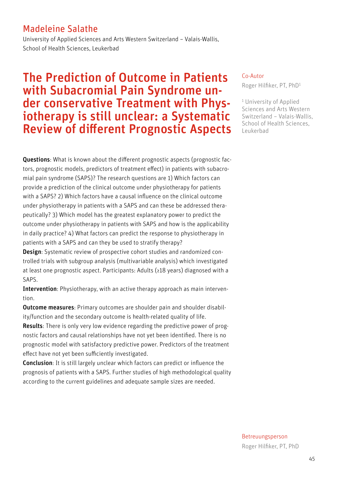### Madeleine Salathe

University of Applied Sciences and Arts Western Switzerland – Valais-Wallis, School of Health Sciences, Leukerbad

## The Prediction of Outcome in Patients with Subacromial Pain Syndrome under conservative Treatment with Physiotherapy is still unclear: a Systematic Review of different Prognostic Aspects

Questions: What is known about the different prognostic aspects (prognostic factors, prognostic models, predictors of treatment effect) in patients with subacromial pain syndrome (SAPS)? The research questions are 1) Which factors can provide a prediction of the clinical outcome under physiotherapy for patients with a SAPS? 2) Which factors have a causal influence on the clinical outcome under physiotherapy in patients with a SAPS and can these be addressed therapeutically? 3) Which model has the greatest explanatory power to predict the outcome under physiotherapy in patients with SAPS and how is the applicability in daily practice? 4) What factors can predict the response to physiotherapy in patients with a SAPS and can they be used to stratify therapy?

Design: Systematic review of prospective cohort studies and randomized controlled trials with subgroup analysis (multivariable analysis) which investigated at least one prognostic aspect. Participants: Adults (≥18 years) diagnosed with a SAPS.

Intervention: Physiotherapy, with an active therapy approach as main intervention.

Outcome measures: Primary outcomes are shoulder pain and shoulder disability/function and the secondary outcome is health-related quality of life.

Results: There is only very low evidence regarding the predictive power of prognostic factors and causal relationships have not yet been identified. There is no prognostic model with satisfactory predictive power. Predictors of the treatment effect have not yet been sufficiently investigated.

Conclusion: It is still largely unclear which factors can predict or influence the prognosis of patients with a SAPS. Further studies of high methodological quality according to the current guidelines and adequate sample sizes are needed.

#### Co-Autor

Roger Hilfiker, PT, PhD1

1 University of Applied Sciences and Arts Western Switzerland – Valais-Wallis, School of Health Sciences, Leukerbad

Betreuungsperson Roger Hilfiker, PT, PhD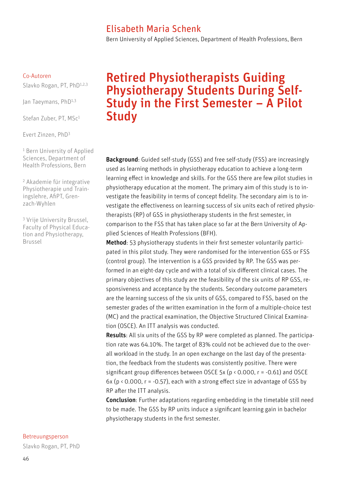### Elisabeth Maria Schenk

Bern University of Applied Sciences, Department of Health Professions, Bern

#### Co-Autoren

Slavko Rogan, PT, PhD1,2,3

Jan Taeymans, PhD1,3

Stefan Zuber, PT, MSc<sup>1</sup>

Evert Zinzen, PhD3

1 Bern University of Applied Sciences, Department of Health Professions, Bern

2 Akademie für integrative Physiotherapie und Trainingslehre, AfiPT, Grenzach-Wyhlen

3 Vrije University Brussel, Faculty of Physical Education and Physiotherapy, Brussel

## Retired Physiotherapists Guiding Physiotherapy Students During Self-Study in the First Semester – A Pilot **Study**

Background: Guided self-study (GSS) and free self-study (FSS) are increasingly used as learning methods in physiotherapy education to achieve a long-term learning effect in knowledge and skills. For the GSS there are few pilot studies in physiotherapy education at the moment. The primary aim of this study is to investigate the feasibility in terms of concept fidelity. The secondary aim is to investigate the effectiveness on learning success of six units each of retired physiotherapists (RP) of GSS in physiotherapy students in the first semester, in comparison to the FSS that has taken place so far at the Bern University of Applied Sciences of Health Professions (BFH).

Method: 53 physiotherapy students in their first semester voluntarily participated in this pilot study. They were randomised for the intervention GSS or FSS (control group). The intervention is a GSS provided by RP. The GSS was performed in an eight-day cycle and with a total of six different clinical cases. The primary objectives of this study are the feasibility of the six units of RP GSS, responsiveness and acceptance by the students. Secondary outcome parameters are the learning success of the six units of GSS, compared to FSS, based on the semester grades of the written examination in the form of a multiple-choice test (MC) and the practical examination, the Objective Structured Clinical Examination (OSCE). An ITT analysis was conducted.

Results: All six units of the GSS by RP were completed as planned. The participation rate was 64.10%. The target of 83% could not be achieved due to the overall workload in the study. In an open exchange on the last day of the presentation, the feedback from the students was consistently positive. There were significant group differences between OSCE 5x ( $p \le 0.000$ ,  $r = -0.61$ ) and OSCE  $6x$  (p < 0.000, r = -0.57), each with a strong effect size in advantage of GSS by RP after the ITT analysis.

Conclusion: Further adaptations regarding embedding in the timetable still need to be made. The GSS by RP units induce a significant learning gain in bachelor physiotherapy students in the first semester.

Betreuungsperson Slavko Rogan, PT, PhD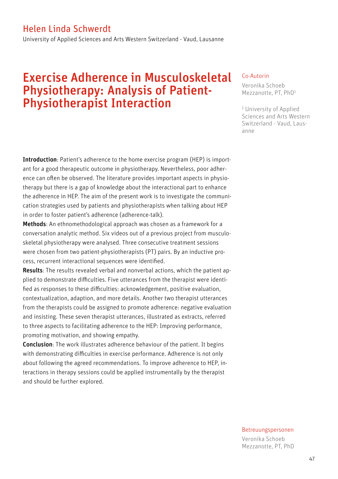### Helen Linda Schwerdt

University of Applied Sciences and Arts Western Switzerland - Vaud, Lausanne

## Exercise Adherence in Musculoskeletal Physiotherapy: Analysis of Patient-Physiotherapist Interaction

Introduction: Patient's adherence to the home exercise program (HEP) is important for a good therapeutic outcome in physiotherapy. Nevertheless, poor adherence can often be observed. The literature provides important aspects in physiotherapy but there is a gap of knowledge about the interactional part to enhance the adherence in HEP. The aim of the present work is to investigate the communication strategies used by patients and physiotherapists when talking about HEP in order to foster patient's adherence (adherence-talk).

Methods: An ethnomethodological approach was chosen as a framework for a conversation analytic method. Six videos out of a previous project from musculoskeletal physiotherapy were analysed. Three consecutive treatment sessions were chosen from two patient-physiotherapists (PT) pairs. By an inductive process, recurrent interactional sequences were identified.

Results: The results revealed verbal and nonverbal actions, which the patient applied to demonstrate difficulties. Five utterances from the therapist were identified as responses to these difficulties: acknowledgement, positive evaluation, contextualization, adaption, and more details. Another two therapist utterances from the therapists could be assigned to promote adherence: negative evaluation and insisting. These seven therapist utterances, illustrated as extracts, referred to three aspects to facilitating adherence to the HEP: Improving performance, promoting motivation, and showing empathy.

Conclusion: The work illustrates adherence behaviour of the patient. It begins with demonstrating difficulties in exercise performance. Adherence is not only about following the agreed recommendations. To improve adherence to HEP, interactions in therapy sessions could be applied instrumentally by the therapist and should be further explored.

#### Co-Autorin

Veronika Schoeb Mezzanotte, PT, PhD1

1 University of Applied Sciences and Arts Western Switzerland - Vaud, Lausanne

Veronika Schoeb Mezzanotte, PT, PhD Betreuungspersonen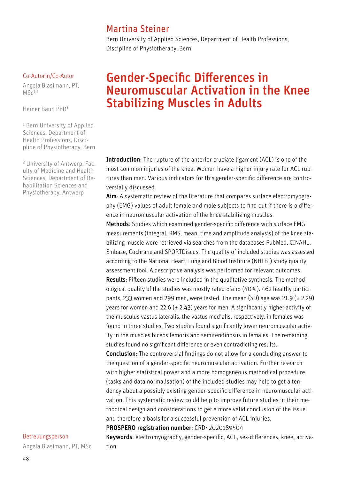### Martina Steiner

Bern University of Applied Sciences, Department of Health Professions, Discipline of Physiotherapy, Bern

#### Co-Autorin/Co-Autor

Angela Blasimann, PT,  $M\widetilde{\zeta}c^{1,2}$ 

Heiner Baur, PhD1

1 Bern University of Applied Sciences, Department of Health Professions, Discipline of Physiotherapy, Bern

2 University of Antwerp, Faculty of Medicine and Health Sciences, Department of Rehabilitation Sciences and Physiotherapy, Antwerp

## Gender-Specific Differences in Neuromuscular Activation in the Knee Stabilizing Muscles in Adults

Introduction: The rupture of the anterior cruciate ligament (ACL) is one of the most common injuries of the knee. Women have a higher injury rate for ACL ruptures than men. Various indicators for this gender-specific difference are controversially discussed.

Aim: A systematic review of the literature that compares surface electromyography (EMG) values of adult female and male subjects to find out if there is a difference in neuromuscular activation of the knee stabilizing muscles.

Methods: Studies which examined gender-specific difference with surface EMG measurements (integral, RMS, mean, time and amplitude analysis) of the knee stabilizing muscle were retrieved via searches from the databases PubMed, CINAHL, Embase, Cochrane and SPORTDiscus. The quality of included studies was assessed according to the National Heart, Lung and Blood Institute (NHLBI) study quality assessment tool. A descriptive analysis was performed for relevant outcomes. Results: Fifteen studies were included in the qualitative synthesis. The methodological quality of the studies was mostly rated «fair» (40%). 462 healthy participants, 233 women and 299 men, were tested. The mean (SD) age was 21.9 ( $\pm$  2.29) years for women and 22.6 ( $\pm$  2.43) years for men. A significantly higher activity of the musculus vastus lateralis, the vastus medialis, respectively, in females was found in three studies. Two studies found significantly lower neuromuscular activity in the muscles biceps femoris and semitendinosus in females. The remaining studies found no significant difference or even contradicting results.

Conclusion: The controversial findings do not allow for a concluding answer to the question of a gender-specific neuromuscular activation. Further research with higher statistical power and a more homogeneous methodical procedure (tasks and data normalisation) of the included studies may help to get a tendency about a possibly existing gender-specific difference in neuromuscular activation. This systematic review could help to improve future studies in their methodical design and considerations to get a more valid conclusion of the issue and therefore a basis for a successful prevention of ACL injuries.

#### PROSPERO registration number: CRD42020189504

Keywords: electromyography, gender-specific, ACL, sex-differences, knee, activation

Betreuungsperson

Angela Blasimann, PT, MSc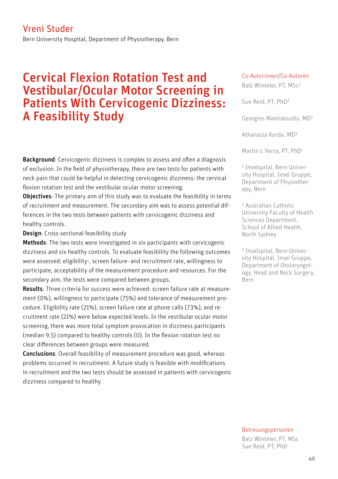## Vreni Studer

Bern University Hospital, Department of Physiotherapy, Bern

## Cervical Flexion Rotation Test and Vestibular/Ocular Motor Screening in Patients With Cervicogenic Dizziness: A Feasibility Study

**Background:** Cervicogenic dizziness is complex to assess and often a diagnosis of exclusion. In the field of physiotherapy, there are two tests for patients with neck pain that could be helpful in detecting cervicogenic dizziness: the cervical flexion rotation test and the vestibular ocular motor screening.

Objectives: The primary aim of this study was to evaluate the feasibility in terms of recruitment and measurement. The secondary aim was to assess potential differences in the two tests between patients with cervicogenic dizziness and healthy controls.

Design: Cross-sectional feasibility study

Methods: The two tests were investigated in six participants with cervicogenic dizziness and six healthy controls. To evaluate feasibility the following outcomes were assessed: eligibility-, screen failure- and recruitment rate, willingness to participate, acceptability of the measurement procedure and resources. For the secondary aim, the tests were compared between groups.

Results: Three criteria for success were achieved: screen failure rate at measurement (0%), willingness to participate (75%) and tolerance of measurement procedure. Eligibility rate (21%), screen failure rate at phone calls (73%), and recruitment rate (21%) were below expected levels. In the vestibular ocular motor screening, there was more total symptom provocation in dizziness participants (median 9.5) compared to healthy controls (0). In the flexion rotation test no clear differences between groups were measured.

Conclusions: Overall feasibility of measurement procedure was good, whereas problems occurred in recruitment. A future study is feasible with modifications in recruitment and the two tests should be assessed in patients with cervicogenic dizziness compared to healthy

#### Co-Autorinnen/Co-Autoren

Balz Winteler, PT, MSc1

Sue Reid, PT, PhD2

Georgios Mantokoudis, MD3

Athanasia Korda, MD3

Martin L Verra, PT, PhD1

1 Inselspital, Bern University Hospital, Insel Gruppe, Department of Physiotherapy, Bern

2 Australian Catholic University Faculty of Health Sciences Department, School of Allied Health, North Sydney

3 Inselspital, Bern University Hospital, Insel Gruppe, Department of Otolaryngology, Head and Neck Surgery, Bern

#### Betreuungspersonen

Balz Winteler, PT, MSc Sue Reid, PT, PhD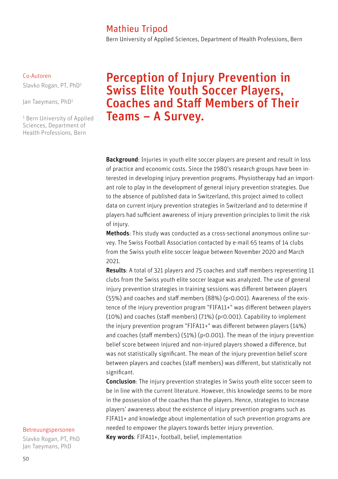### Mathieu Tripod

Bern University of Applied Sciences, Department of Health Professions, Bern

#### Co-Autoren

Slavko Rogan, PT, PhD1

Jan Taeymans, PhD1

1 Bern University of Applied Sciences, Department of Health Professions, Bern

## Perception of Injury Prevention in Swiss Elite Youth Soccer Players, Coaches and Staff Members of Their Teams – A Survey.

Background: Injuries in youth elite soccer players are present and result in loss of practice and economic costs. Since the 1980's research groups have been interested in developing injury prevention programs. Physiotherapy had an important role to play in the development of general injury prevention strategies. Due to the absence of published data in Switzerland, this project aimed to collect data on current injury prevention strategies in Switzerland and to determine if players had sufficient awareness of injury prevention principles to limit the risk of injury.

Methods: This study was conducted as a cross-sectional anonymous online survey. The Swiss Football Association contacted by e-mail 65 teams of 14 clubs from the Swiss youth elite soccer league between November 2020 and March 2021.

Results: A total of 321 players and 75 coaches and staff members representing 11 clubs from the Swiss youth elite soccer league was analyzed. The use of general injury prevention strategies in training sessions was different between players (55%) and coaches and staff members (88%) (p<0.001). Awareness of the existence of the injury prevention program "FIFA11+" was different between players (10%) and coaches (staff members) (71%) (p<0.001). Capability to implement the injury prevention program "FIFA11+" was different between players (14%) and coaches (staff members) (51%) (p<0.001). The mean of the injury prevention belief score between injured and non-injured players showed a difference, but was not statistically significant. The mean of the injury prevention belief score between players and coaches (staff members) was different, but statistically not significant.

**Conclusion:** The injury prevention strategies in Swiss youth elite soccer seem to be in line with the current literature. However, this knowledge seems to be more in the possession of the coaches than the players. Hence, strategies to increase players' awareness about the existence of injury prevention programs such as FIFA11+ and knowledge about implementation of such prevention programs are needed to empower the players towards better injury prevention. Key words: FIFA11+, football, belief, implementation

#### Betreuungspersonen

Slavko Rogan, PT, PhD Jan Taeymans, PhD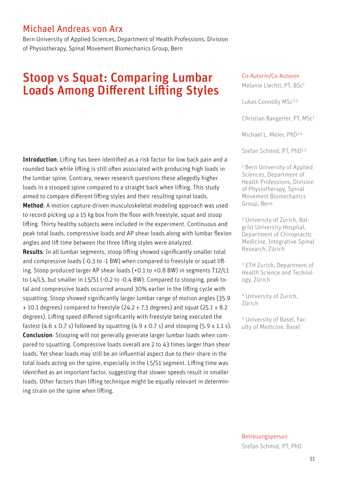### Michael Andreas von Arx

Bern University of Applied Sciences, Department of Health Professions, Division of Physiotherapy, Spinal Movement Biomechanics Group, Bern

## Stoop vs Squat: Comparing Lumbar Loads Among Different Lifting Styles

Introduction: Lifting has been identified as a risk factor for low back pain and a rounded back while lifting is still often associated with producing high loads in the lumbar spine. Contrary, newer research questions these allegedly higher loads in a stooped spine compared to a straight back when lifting. This study aimed to compare different lifting styles and their resulting spinal loads.

Method: A motion capture-driven musculoskeletal modeling approach was used to record picking up a 15 kg box from the floor with freestyle, squat and stoop lifting. Thirty healthy subjects were included in the experiment. Continuous and peak total loads, compressive loads and AP shear loads along with lumbar flexion angles and lift time between the three lifting styles were analyzed.

Results: In all lumbar segments, stoop lifting showed significantly smaller total and compressive loads (-0.3 to -1 BW) when compared to freestyle or squat lifting. Stoop produced larger AP shear loads (+0.1 to +0.8 BW) in segments T12/L1 to L4/L5, but smaller in L5/S1 (-0.2 to -0.4 BW). Compared to stooping, peak total and compressive loads occurred around 30% earlier in the lifting cycle with squatting. Stoop showed significantly larger lumbar range of motion angles (35.9  $\pm$  10.1 degrees) compared to freestyle (24.2  $\pm$  7.3 degrees) and squat (25.1  $\pm$  8.2 degrees). Lifting speed differed significantly with freestyle being executed the fastest (4.6  $\pm$  0.7 s) followed by squatting (4.9  $\pm$  0.7 s) and stooping (5.9  $\pm$  1.1 s). Conclusion: Stooping will not generally generate larger lumbar loads when compared to squatting. Compressive loads overall are 2 to 43 times larger than shear loads. Yet shear loads may still be an influential aspect due to their share in the total loads acting on the spine, especially in the L5/S1 segment. Lifting time was identified as an important factor, suggesting that slower speeds result in smaller loads. Other factors than lifting technique might be equally relevant in determining strain on the spine when lifting.

#### Co-Autorin/Co-Autoren

Melanie Liechti, PT, BSc1

Lukas Connolly MSc<sup>2,3</sup>

Christian Bangerter, PT, MSc1

Michael L. Meier, PhD2,4

Stefan Schmid, PT, PhD<sup>1,5</sup>

1 Bern University of Applied Sciences, Department of Health Professions, Division of Physiotherapy, Spinal Movement Biomechanics Group, Bern

2 University of Zurich, Balgrist University Hospital, Department of Chiropractic Medicine, Integrative Spinal Research, Zürich

3 ETH Zurich, Department of Health Science and Technology, Zürich

4 University of Zurich, Zürich

5 University of Basel, Faculty of Medicine, Basel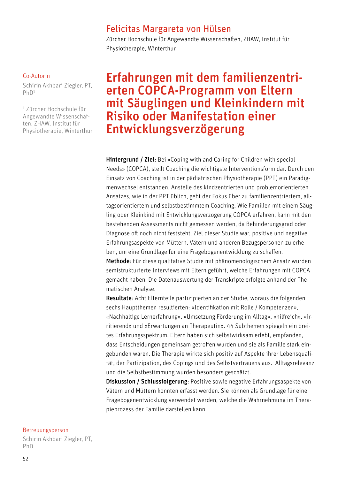### Felicitas Margareta von Hülsen

Zürcher Hochschule für Angewandte Wissenschaften, ZHAW, Institut für Physiotherapie, Winterthur

#### Co-Autorin

Schirin Akhbari Ziegler, PT,  $PhD<sup>1</sup>$ 

1 Zürcher Hochschule für Angewandte Wissenschaften, ZHAW, Institut für Physiotherapie, Winterthur

## Erfahrungen mit dem familienzentrierten COPCA-Programm von Eltern mit Säuglingen und Kleinkindern mit Risiko oder Manifestation einer Entwicklungsverzögerung

Hintergrund / Ziel: Bei «Coping with and Caring for Children with special Needs» (COPCA), stellt Coaching die wichtigste Interventionsform dar. Durch den Einsatz von Coaching ist in der pädiatrischen Physiotherapie (PPT) ein Paradigmenwechsel entstanden. Anstelle des kindzentrierten und problemorientierten Ansatzes, wie in der PPT üblich, geht der Fokus über zu familienzentriertem, alltagsorientiertem und selbstbestimmtem Coaching. Wie Familien mit einem Säugling oder Kleinkind mit Entwicklungsverzögerung COPCA erfahren, kann mit den bestehenden Assessments nicht gemessen werden, da Behinderungsgrad oder Diagnose oft noch nicht feststeht. Ziel dieser Studie war, positive und negative Erfahrungsaspekte von Müttern, Vätern und anderen Bezugspersonen zu erheben, um eine Grundlage für eine Fragebogenentwicklung zu schaffen. Methode: Für diese qualitative Studie mit phänomenologischem Ansatz wurden semistrukturierte Interviews mit Eltern geführt, welche Erfahrungen mit COPCA gemacht haben. Die Datenauswertung der Transkripte erfolgte anhand der The-

Resultate: Acht Elternteile partizipierten an der Studie, woraus die folgenden sechs Hauptthemen resultierten: «Identifikation mit Rolle / Kompetenzen», «Nachhaltige Lernerfahrung», «Umsetzung Förderung im Alltag», «hilfreich», «irritierend» und «Erwartungen an Therapeutin». 44 Subthemen spiegeln ein breites Erfahrungsspektrum. Eltern haben sich selbstwirksam erlebt, empfanden, dass Entscheidungen gemeinsam getroffen wurden und sie als Familie stark eingebunden waren. Die Therapie wirkte sich positiv auf Aspekte ihrer Lebensqualität, der Partizipation, des Copings und des Selbstvertrauens aus. Alltagsrelevanz und die Selbstbestimmung wurden besonders geschätzt.

matischen Analyse.

Diskussion / Schlussfolgerung: Positive sowie negative Erfahrungsaspekte von Vätern und Müttern konnten erfasst werden. Sie können als Grundlage für eine Fragebogenentwicklung verwendet werden, welche die Wahrnehmung im Therapieprozess der Familie darstellen kann.

#### Betreuungsperson

Schirin Akhbari Ziegler, PT, PhD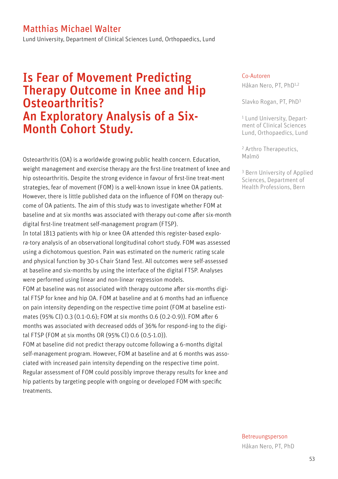### Matthias Michael Walter

Lund University, Department of Clinical Sciences Lund, Orthopaedics, Lund

## Is Fear of Movement Predicting Therapy Outcome in Knee and Hip Osteoarthritis? An Exploratory Analysis of a Six-Month Cohort Study.

Osteoarthritis (OA) is a worldwide growing public health concern. Education, weight management and exercise therapy are the first-line treatment of knee and hip osteoarthritis. Despite the strong evidence in favour of first-line treat-ment strategies, fear of movement (FOM) is a well-known issue in knee OA patients. However, there is little published data on the influence of FOM on therapy outcome of OA patients. The aim of this study was to investigate whether FOM at baseline and at six months was associated with therapy out-come after six-month digital first-line treatment self-management program (FTSP).

In total 1813 patients with hip or knee OA attended this register-based explora-tory analysis of an observational longitudinal cohort study. FOM was assessed using a dichotomous question. Pain was estimated on the numeric rating scale and physical function by 30-s Chair Stand Test. All outcomes were self-assessed at baseline and six-months by using the interface of the digital FTSP. Analyses were performed using linear and non-linear regression models.

FOM at baseline was not associated with therapy outcome after six-months digital FTSP for knee and hip OA. FOM at baseline and at 6 months had an influence on pain intensity depending on the respective time point (FOM at baseline estimates (95% CI) 0.3 (0.1-0.6); FOM at six months 0.6 (0.2-0.9)). FOM after 6 months was associated with decreased odds of 36% for respond-ing to the digital FTSP (FOM at six months OR (95% CI) 0.6 (0.5-1.0)).

FOM at baseline did not predict therapy outcome following a 6-months digital self-management program. However, FOM at baseline and at 6 months was associated with increased pain intensity depending on the respective time point. Regular assessment of FOM could possibly improve therapy results for knee and hip patients by targeting people with ongoing or developed FOM with specific treatments.

#### Co-Autoren

Håkan Nero, PT, PhD1,2

Slavko Rogan, PT, PhD3

1 Lund University, Department of Clinical Sciences Lund, Orthopaedics, Lund

2 Arthro Therapeutics, Malmö

3 Bern University of Applied Sciences, Department of Health Professions, Bern

Betreuungsperson Håkan Nero, PT, PhD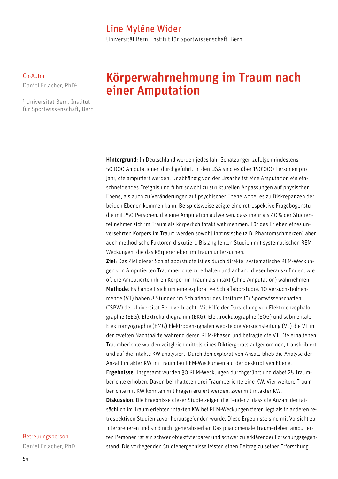### Line Myléne Wider

Universität Bern, Institut für Sportwissenschaft, Bern

Co-Autor

Daniel Erlacher, PhD1

1 Universität Bern, Institut für Sportwissenschaft, Bern

## Körperwahrnehmung im Traum nach einer Amputation

Hintergrund: In Deutschland werden jedes Jahr Schätzungen zufolge mindestens 50'000 Amputationen durchgeführt. In den USA sind es über 150'000 Personen pro Jahr, die amputiert werden. Unabhängig von der Ursache ist eine Amputation ein einschneidendes Ereignis und führt sowohl zu strukturellen Anpassungen auf physischer Ebene, als auch zu Veränderungen auf psychischer Ebene wobei es zu Diskrepanzen der beiden Ebenen kommen kann. Beispielsweise zeigte eine retrospektive Fragebogenstudie mit 250 Personen, die eine Amputation aufweisen, dass mehr als 40% der Studienteilnehmer sich im Traum als körperlich intakt wahrnehmen. Für das Erleben eines unversehrten Körpers im Traum werden sowohl intrinsische (z.B. Phantomschmerzen) aber auch methodische Faktoren diskutiert. Bislang fehlen Studien mit systematischen REM-Weckungen, die das Körpererleben im Traum untersuchen.

Ziel: Das Ziel dieser Schlaflaborstudie ist es durch direkte, systematische REM-Weckungen von Amputierten Traumberichte zu erhalten und anhand dieser herauszufinden, wie oft die Amputierten ihren Körper im Traum als intakt (ohne Amputation) wahrnehmen. Methode: Es handelt sich um eine explorative Schlaflaborstudie. 10 Versuchsteilnehmende (VT) haben 8 Stunden im Schlaflabor des Instituts für Sportwissenschaften (ISPW) der Universität Bern verbracht. Mit Hilfe der Darstellung von Elektroenzephalographie (EEG), Elektrokardiogramm (EKG), Elektrookulographie (EOG) und submentaler Elektromyographie (EMG) Elektrodensignalen weckte die Versuchsleitung (VL) die VT in der zweiten Nachthälfte während deren REM-Phasen und befragte die VT. Die erhaltenen Traumberichte wurden zeitgleich mittels eines Diktiergeräts aufgenommen, transkribiert und auf die intakte KW analysiert. Durch den explorativen Ansatz blieb die Analyse der Anzahl intakter KW im Traum bei REM-Weckungen auf der deskriptiven Ebene.

Ergebnisse: Insgesamt wurden 30 REM-Weckungen durchgeführt und dabei 28 Traumberichte erhoben. Davon beinhalteten drei Traumberichte eine KW. Vier weitere Traumberichte mit KW konnten mit Fragen eruiert werden, zwei mit intakter KW.

Diskussion: Die Ergebnisse dieser Studie zeigen die Tendenz, dass die Anzahl der tatsächlich im Traum erlebten intakten KW bei REM-Weckungen tiefer liegt als in anderen retrospektiven Studien zuvor herausgefunden wurde. Diese Ergebnisse sind mit Vorsicht zu interpretieren und sind nicht generalisierbar. Das phänomenale Traumerleben amputierten Personen ist ein schwer objektivierbarer und schwer zu erklärender Forschungsgegenstand. Die vorliegenden Studienergebnisse leisten einen Beitrag zu seiner Erforschung.

Betreuungsperson Daniel Erlacher, PhD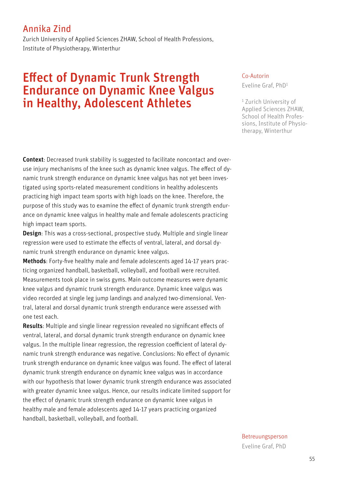### Annika Zind

Zurich University of Applied Sciences ZHAW, School of Health Professions, Institute of Physiotherapy, Winterthur

## Effect of Dynamic Trunk Strength Endurance on Dynamic Knee Valgus in Healthy, Adolescent Athletes

Context: Decreased trunk stability is suggested to facilitate noncontact and overuse injury mechanisms of the knee such as dynamic knee valgus. The effect of dynamic trunk strength endurance on dynamic knee valgus has not yet been investigated using sports-related measurement conditions in healthy adolescents practicing high impact team sports with high loads on the knee. Therefore, the purpose of this study was to examine the effect of dynamic trunk strength endurance on dynamic knee valgus in healthy male and female adolescents practicing high impact team sports.

**Design:** This was a cross-sectional, prospective study. Multiple and single linear regression were used to estimate the effects of ventral, lateral, and dorsal dynamic trunk strength endurance on dynamic knee valgus.

Methods: Forty-five healthy male and female adolescents aged 14-17 years practicing organized handball, basketball, volleyball, and football were recruited. Measurements took place in swiss gyms. Main outcome measures were dynamic knee valgus and dynamic trunk strength endurance. Dynamic knee valgus was video recorded at single leg jump landings and analyzed two-dimensional. Ventral, lateral and dorsal dynamic trunk strength endurance were assessed with one test each.

Results: Multiple and single linear regression revealed no significant effects of ventral, lateral, and dorsal dynamic trunk strength endurance on dynamic knee valgus. In the multiple linear regression, the regression coefficient of lateral dynamic trunk strength endurance was negative. Conclusions: No effect of dynamic trunk strength endurance on dynamic knee valgus was found. The effect of lateral dynamic trunk strength endurance on dynamic knee valgus was in accordance with our hypothesis that lower dynamic trunk strength endurance was associated with greater dynamic knee valgus. Hence, our results indicate limited support for the effect of dynamic trunk strength endurance on dynamic knee valgus in healthy male and female adolescents aged 14-17 years practicing organized handball, basketball, volleyball, and football.

#### Co-Autorin

Eveline Graf, PhD1

1 Zurich University of Applied Sciences ZHAW, School of Health Professions, Institute of Physiotherapy, Winterthur

Betreuungsperson Eveline Graf, PhD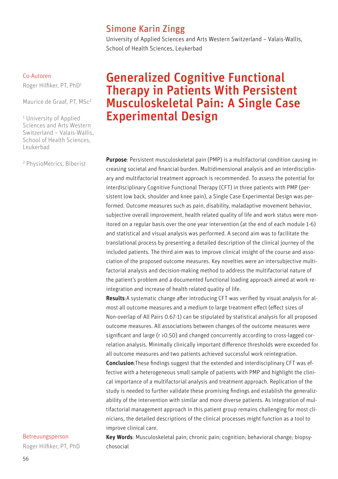### Simone Karin Zingg

University of Applied Sciences and Arts Western Switzerland – Valais-Wallis, School of Health Sciences, Leukerbad

#### Co-Autoren

Roger Hilfiker, PT, PhD1

Maurice de Graaf, PT, MSc<sup>2</sup>

1 University of Applied Sciences and Arts Western Switzerland – Valais-Wallis, School of Health Sciences, Leukerbad

2 PhysioMetrics, Biberist

## Generalized Cognitive Functional Therapy in Patients With Persistent Musculoskeletal Pain: A Single Case Experimental Design

Purpose: Persistent musculoskeletal pain (PMP) is a multifactorial condition causing increasing societal and financial burden. Multidimensional analysis and an interdisciplinary and multifactorial treatment approach is recommended. To assess the potential for interdisciplinary Cognitive Functional Therapy (CFT) in three patients with PMP (persistent low back, shoulder and knee pain), a Single Case Experimental Design was performed. Outcome measures such as pain, disability, maladaptive movement behavior, subjective overall improvement, health related quality of life and work status were monitored on a regular basis over the one year intervention (at the end of each module 1-6) and statistical and visual analysis was performed. A second aim was to facilitate the translational process by presenting a detailed description of the clinical journey of the included patients. The third aim was to improve clinical insight of the course and association of the proposed outcome measures. Key novelties were an intersubjective multifactorial analysis and decision-making method to address the multifactorial nature of the patient's problem and a documented functional loading approach aimed at work reintegration and increase of health related quality of life.

Results:A systematic change after introducing CFT was verified by visual analysis for almost all outcome measures and a medium to large treatment effect (effect sizes of Non-overlap of All Pairs 0.67-1) can be stipulated by statistical analysis for all proposed outcome measures. All associations between changes of the outcome measures were significant and large (r ≥0.50) and changed concurrently according to cross-lagged correlation analysis. Minimally clinically important difference thresholds were exceeded for all outcome measures and two patients achieved successful work reintegration.

Conclusion:These findings suggest that the extended and interdisciplinary CFT was effective with a heterogeneous small sample of patients with PMP and highlight the clinical importance of a multifactorial analysis and treatment approach. Replication of the study is needed to further validate these promising findings and establish the generalizability of the intervention with similar and more diverse patients. As integration of multifactorial management approach in this patient group remains challenging for most clinicians, the detailed descriptions of the clinical processes might function as a tool to improve clinical care.

Betreuungsperson Roger Hilfiker, PT, PhD Key Words: Musculoskeletal pain; chronic pain; cognition; behavioral change; biopsychosocial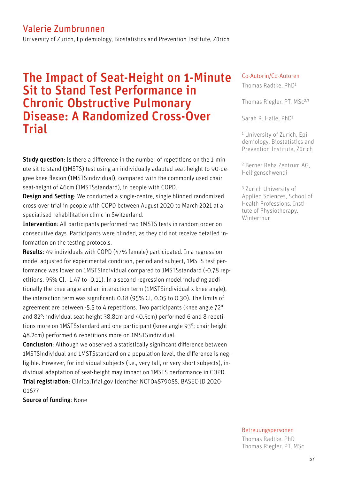### Valerie Zumbrunnen

University of Zurich, Epidemiology, Biostatistics and Prevention Institute, Zürich

## The Impact of Seat-Height on 1-Minute Sit to Stand Test Performance in Chronic Obstructive Pulmonary Disease: A Randomized Cross-Over Trial

Study question: Is there a difference in the number of repetitions on the 1-minute sit to stand (1MSTS) test using an individually adapted seat-height to 90-degree knee flexion (1MSTSindividual), compared with the commonly used chair seat-height of 46cm (1MSTSstandard), in people with COPD.

Design and Setting: We conducted a single-centre, single blinded randomized cross-over trial in people with COPD between August 2020 to March 2021 at a specialised rehabilitation clinic in Switzerland.

Intervention: All participants performed two 1MSTS tests in random order on consecutive days. Participants were blinded, as they did not receive detailed information on the testing protocols.

Results: 49 individuals with COPD (47% female) participated. In a regression model adjusted for experimental condition, period and subject, 1MSTS test performance was lower on 1MSTSindividual compared to 1MSTSstandard (-0.78 repetitions, 95% CI, -1.47 to -0.11). In a second regression model including additionally the knee angle and an interaction term (1MSTSindividual x knee angle), the interaction term was significant: 0.18 (95% CI, 0.05 to 0.30). The limits of agreement are between -5.5 to 4 repetitions. Two participants (knee angle 72° and 82°; individual seat-height 38.8cm and 40.5cm) performed 6 and 8 repetitions more on 1MSTSstandard and one participant (knee angle 93°; chair height 48.2cm) performed 6 repetitions more on 1MSTSindividual.

Conclusion: Although we observed a statistically significant difference between 1MSTSindividual and 1MSTSstandard on a population level, the difference is negligible. However, for individual subjects (i.e., very tall, or very short subjects), individual adaptation of seat-height may impact on 1MSTS performance in COPD. Trial registration: ClinicalTrial.gov Identifier NCT04579055, BASEC-ID 2020- 01677

Source of funding: None

#### Co-Autorin/Co-Autoren

Thomas Radtke, PhD1

Thomas Riegler, PT, MSc<sup>2,3</sup>

Sarah R. Haile, PhD1

1 University of Zurich, Epidemiology, Biostatistics and Prevention Institute, Zürich

2 Berner Reha Zentrum AG, Heiligenschwendi

3 Zurich University of Applied Sciences, School of Health Professions, Institute of Physiotherapy, Winterthur

Betreuungspersonen

Thomas Radtke, PhD Thomas Riegler, PT, MSc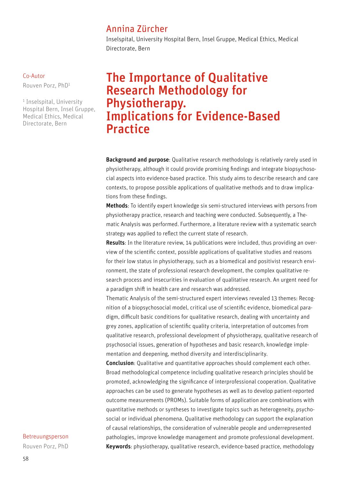### Annina Zürcher

Inselspital, University Hospital Bern, Insel Gruppe, Medical Ethics, Medical Directorate, Bern

#### Co-Autor

Rouven Porz, PhD1

1 Inselspital, University Hospital Bern, Insel Gruppe, Medical Ethics, Medical Directorate, Bern

## The Importance of Qualitative Research Methodology for Physiotherapy. Implications for Evidence-Based **Practice**

Background and purpose: Qualitative research methodology is relatively rarely used in physiotherapy, although it could provide promising findings and integrate biopsychosocial aspects into evidence-based practice. This study aims to describe research and care contexts, to propose possible applications of qualitative methods and to draw implications from these findings.

Methods: To identify expert knowledge six semi-structured interviews with persons from physiotherapy practice, research and teaching were conducted. Subsequently, a Thematic Analysis was performed. Furthermore, a literature review with a systematic search strategy was applied to reflect the current state of research.

Results: In the literature review, 14 publications were included, thus providing an overview of the scientific context, possible applications of qualitative studies and reasons for their low status in physiotherapy, such as a biomedical and positivist research environment, the state of professional research development, the complex qualitative research process and insecurities in evaluation of qualitative research. An urgent need for a paradigm shift in health care and research was addressed.

Thematic Analysis of the semi-structured expert interviews revealed 13 themes: Recognition of a biopsychosocial model, critical use of scientific evidence, biomedical paradigm, difficult basic conditions for qualitative research, dealing with uncertainty and grey zones, application of scientific quality criteria, interpretation of outcomes from qualitative research, professional development of physiotherapy, qualitative research of psychosocial issues, generation of hypotheses and basic research, knowledge implementation and deepening, method diversity and interdisciplinarity.

Conclusion: Qualitative and quantitative approaches should complement each other. Broad methodological competence including qualitative research principles should be promoted, acknowledging the significance of interprofessional cooperation. Qualitative approaches can be used to generate hypotheses as well as to develop patient-reported outcome measurements (PROMs). Suitable forms of application are combinations with quantitative methods or syntheses to investigate topics such as heterogeneity, psychosocial or individual phenomena. Qualitative methodology can support the explanation of causal relationships, the consideration of vulnerable people and underrepresented pathologies, improve knowledge management and promote professional development. Keywords: physiotherapy, qualitative research, evidence-based practice, methodology

Betreuungsperson Rouven Porz, PhD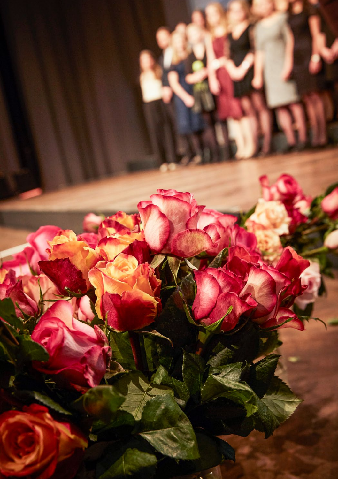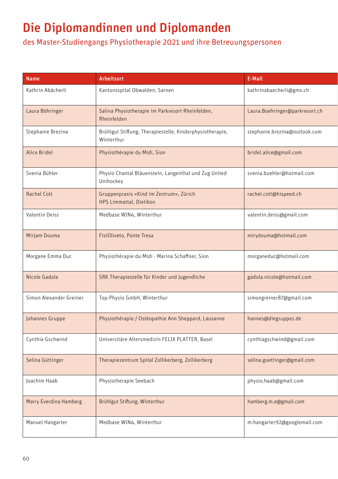## Die Diplomandinnen und Diplomanden

des Master-Studiengangs Physiotherapie 2021 und ihre Betreuungspersonen

| <b>Name</b>             | Arbeitsort                                                             | E-Mail                         |
|-------------------------|------------------------------------------------------------------------|--------------------------------|
| Kathrin Abächerli       | Kantonsspital Obwalden, Sarnen                                         | kathrinabaecherli@gmx.ch       |
| Laura Böhringer         | Salina Physiotherapie im Parkresort Rheinfelden,<br>Rheinfelden        | Laura.Boehringer@parkresort.ch |
| Stephanie Brezina       | Brühlgut Stiftung, Therapiestelle, Kinderphysiotherapie,<br>Winterthur | stephanie.brezina@outlook.com  |
| Alice Bridel            | Physiothérapie du Midi, Sion                                           | bridel.alice@gmail.com         |
| Svenia Bühler           | Physio Chantal Bläuenstein, Langenthal und Zug United<br>Unihockey     | svenia.buehler@hotmail.com     |
| <b>Rachel Cott</b>      | Gruppenpraxis «Kind im Zentrum», Zürich<br>HPS Limmattal, Dietikon     | rachel.cott@hispeed.ch         |
| Valentin Deiss          | Medbase WIN4, Winterthur                                               | valentin.deiss@gmail.com       |
| Mirjam Douma            | FisiOliveto, Ponte Tresa                                               | mirydouma@hotmail.com          |
| Morgane Emma Duc        | Physiothérapie du Midi - Marina Schaffner, Sion                        | morganeduc@hotmail.com         |
| Nicole Gadola           | SRK Therapiestelle für Kinder und Jugendliche                          | gadola.nicole@hotmail.com      |
| Simon Alexander Greiner | Top-Physio GmbH, Winterthur                                            | simongreiner87@gmail.com       |
| Johannes Gruppe         | Physiothérapie / Ostéopathie Ann Sheppard, Lausanne                    | hannes@diegruppes.de           |
| Cynthia Gschwind        | Universitäre Altersmedizin FELIX PLATTER, Basel                        | cynthiagschwind@gmail.com      |
| Selina Güttinger        | Therapiezentrum Spital Zollikerberg, Zollikerberg                      | selina.guettinger@gmail.com    |
| Joachim Haab            | Physiotherapie Seebach                                                 | physio.haab@gmail.com          |
| Marry Everdina Hamberg  | Brühlgut Stiftung, Winterthur                                          | hamberg.m.e@gmail.com          |
| Manuel Hangarter        | Medbase WIN4, Winterthur                                               | m.hangarter92@googlemail.com   |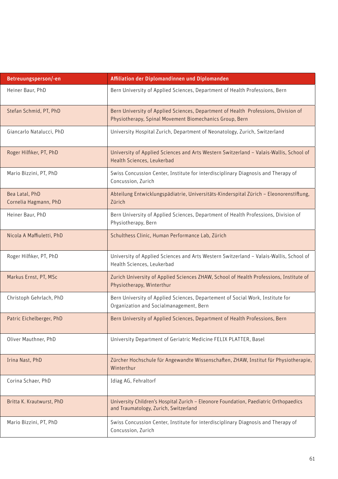| Betreuungsperson/-en                    | Affiliation der Diplomandinnen und Diplomanden                                                                                                |
|-----------------------------------------|-----------------------------------------------------------------------------------------------------------------------------------------------|
| Heiner Baur, PhD                        | Bern University of Applied Sciences, Department of Health Professions, Bern                                                                   |
| Stefan Schmid, PT, PhD                  | Bern University of Applied Sciences, Department of Health Professions, Division of<br>Physiotherapy, Spinal Movement Biomechanics Group, Bern |
| Giancarlo Natalucci, PhD                | University Hospital Zurich, Department of Neonatology, Zurich, Switzerland                                                                    |
| Roger Hilfiker, PT, PhD                 | University of Applied Sciences and Arts Western Switzerland - Valais-Wallis, School of<br>Health Sciences, Leukerbad                          |
| Mario Bizzini, PT, PhD                  | Swiss Concussion Center, Institute for interdisciplinary Diagnosis and Therapy of<br>Concussion, Zurich                                       |
| Bea Latal, PhD<br>Cornelia Hagmann, PhD | Abteilung Entwicklungspädiatrie, Universitäts-Kinderspital Zürich - Eleonorenstiftung,<br>Zürich                                              |
| Heiner Baur, PhD                        | Bern University of Applied Sciences, Department of Health Professions, Division of<br>Physiotherapy, Bern                                     |
| Nicola A Maffiuletti, PhD               | Schulthess Clinic, Human Performance Lab, Zürich                                                                                              |
| Roger Hilfiker, PT, PhD                 | University of Applied Sciences and Arts Western Switzerland - Valais-Wallis, School of<br>Health Sciences, Leukerbad                          |
| Markus Ernst, PT, MSc                   | Zurich University of Applied Sciences ZHAW, School of Health Professions, Institute of<br>Physiotherapy, Winterthur                           |
| Christoph Gehrlach, PhD                 | Bern University of Applied Sciences, Departement of Social Work, Institute for<br>Organization and Socialmanagement, Bern                     |
| Patric Eichelberger, PhD                | Bern University of Applied Sciences, Department of Health Professions, Bern                                                                   |
| Oliver Mauthner, PhD                    | University Department of Geriatric Medicine FELIX PLATTER, Basel                                                                              |
| Irina Nast, PhD                         | Zürcher Hochschule für Angewandte Wissenschaften, ZHAW, Institut für Physiotherapie,<br>Winterthur                                            |
| Corina Schaer, PhD                      | Idiag AG, Fehraltorf                                                                                                                          |
| Britta K. Krautwurst, PhD               | University Children's Hospital Zurich - Eleonore Foundation, Paediatric Orthopaedics<br>and Traumatology, Zurich, Switzerland                 |
| Mario Bizzini, PT, PhD                  | Swiss Concussion Center, Institute for interdisciplinary Diagnosis and Therapy of<br>Concussion, Zurich                                       |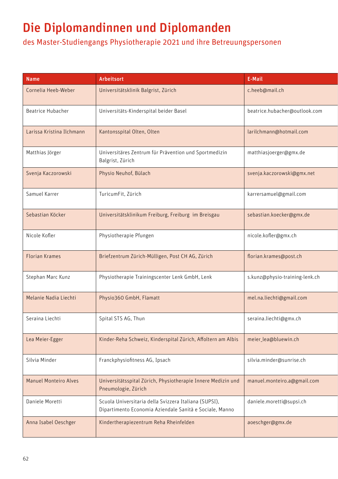## Die Diplomandinnen und Diplomanden

des Master-Studiengangs Physiotherapie 2021 und ihre Betreuungspersonen

| Name                         | Arbeitsort                                                                                                       | E-Mail                         |
|------------------------------|------------------------------------------------------------------------------------------------------------------|--------------------------------|
| Cornelia Heeb-Weber          | Universitätsklinik Balgrist, Zürich                                                                              | c.heeb@mail.ch                 |
| Beatrice Hubacher            | Universitäts-Kinderspital beider Basel                                                                           | beatrice.hubacher@outlook.com  |
| Larissa Kristina Ilchmann    | Kantonsspital Olten, Olten                                                                                       | larilchmann@hotmail.com        |
| Matthias Jörger              | Universitäres Zentrum für Prävention und Sportmedizin<br>Balgrist, Zürich                                        | matthiasjoerger@gmx.de         |
| Svenja Kaczorowski           | Physio Neuhof, Bülach                                                                                            | svenja.kaczorowski@gmx.net     |
| Samuel Karrer                | TuricumFit, Zürich                                                                                               | karrersamuel@gmail.com         |
| Sebastian Köcker             | Universitätsklinikum Freiburg, Freiburg im Breisgau                                                              | sebastian.koecker@gmx.de       |
| Nicole Kofler                | Physiotherapie Pfungen                                                                                           | nicole.kofler@gmx.ch           |
| <b>Florian Krames</b>        | Briefzentrum Zürich-Mülligen, Post CH AG, Zürich                                                                 | florian.krames@post.ch         |
| Stephan Marc Kunz            | Physiotherapie Trainingscenter Lenk GmbH, Lenk                                                                   | s.kunz@physio-training-lenk.ch |
| Melanie Nadia Liechti        | Physio360 GmbH, Flamatt                                                                                          | mel.na.liechti@gmail.com       |
| Seraina Liechti              | Spital STS AG, Thun                                                                                              | seraina.liechti@gmx.ch         |
| Lea Meier-Egger              | Kinder-Reha Schweiz, Kinderspital Zürich, Affoltern am Albis                                                     | meier_lea@bluewin.ch           |
| Silvia Minder                | Franckphysiofitness AG, Ipsach                                                                                   | silvia.minder@sunrise.ch       |
| <b>Manuel Monteiro Alves</b> | Universitätsspital Zürich, Physiotherapie Innere Medizin und<br>Pneumologie, Zürich                              | manuel.monteiro.a@gmail.com    |
| Daniele Moretti              | Scuola Universitaria della Svizzera Italiana (SUPSI),<br>Dipartimento Economia Aziendale Sanità e Sociale, Manno | daniele.moretti@supsi.ch       |
| Anna Isabel Oeschger         | Kindertherapiezentrum Reha Rheinfelden                                                                           | aoeschger@gmx.de               |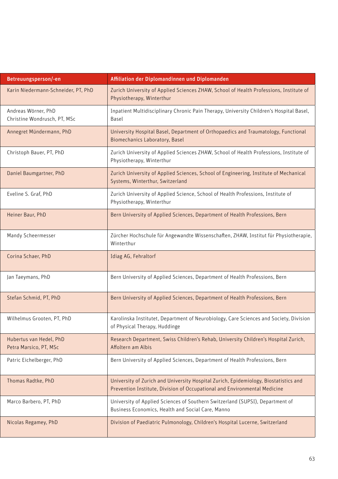| Betreuungsperson/-en                                | Affiliation der Diplomandinnen und Diplomanden                                                                                                                    |
|-----------------------------------------------------|-------------------------------------------------------------------------------------------------------------------------------------------------------------------|
| Karin Niedermann-Schneider, PT, PhD                 | Zurich University of Applied Sciences ZHAW, School of Health Professions, Institute of<br>Physiotherapy, Winterthur                                               |
| Andreas Wörner, PhD<br>Christine Wondrusch, PT, MSc | Inpatient Multidisciplinary Chronic Pain Therapy, University Children's Hospital Basel,<br>Basel                                                                  |
| Annegret Mündermann, PhD                            | University Hospital Basel, Department of Orthopaedics and Traumatology, Functional<br>Biomechanics Laboratory, Basel                                              |
| Christoph Bauer, PT, PhD                            | Zurich University of Applied Sciences ZHAW, School of Health Professions, Institute of<br>Physiotherapy, Winterthur                                               |
| Daniel Baumgartner, PhD                             | Zurich University of Applied Sciences, School of Engineering, Institute of Mechanical<br>Systems, Winterthur, Switzerland                                         |
| Eveline S. Graf. PhD                                | Zurich University of Applied Science, School of Health Professions, Institute of<br>Physiotherapy, Winterthur                                                     |
| Heiner Baur, PhD                                    | Bern University of Applied Sciences, Department of Health Professions, Bern                                                                                       |
| Mandy Scheermesser                                  | Zürcher Hochschule für Angewandte Wissenschaften, ZHAW, Institut für Physiotherapie,<br>Winterthur                                                                |
| Corina Schaer, PhD                                  | Idiag AG, Fehraltorf                                                                                                                                              |
| Jan Taeymans, PhD                                   | Bern University of Applied Sciences, Department of Health Professions, Bern                                                                                       |
| Stefan Schmid, PT, PhD                              | Bern University of Applied Sciences, Department of Health Professions, Bern                                                                                       |
| Wilhelmus Grooten, PT, PhD                          | Karolinska Institutet, Department of Neurobiology, Care Sciences and Society, Division<br>of Physical Therapy, Huddinge                                           |
| Hubertus van Hedel, PhD<br>Petra Marsico, PT, MSc   | Research Department, Swiss Children's Rehab, University Children's Hospital Zurich,<br>Affoltern am Albis                                                         |
| Patric Eichelberger, PhD                            | Bern University of Applied Sciences, Department of Health Professions, Bern                                                                                       |
| Thomas Radtke, PhD                                  | University of Zurich and University Hospital Zurich, Epidemiology, Biostatistics and<br>Prevention Institute, Division of Occupational and Environmental Medicine |
| Marco Barbero, PT, PhD                              | University of Applied Sciences of Southern Switzerland (SUPSI), Department of<br>Business Economics, Health and Social Care, Manno                                |
| Nicolas Regamey, PhD                                | Division of Paediatric Pulmonology, Children's Hospital Lucerne, Switzerland                                                                                      |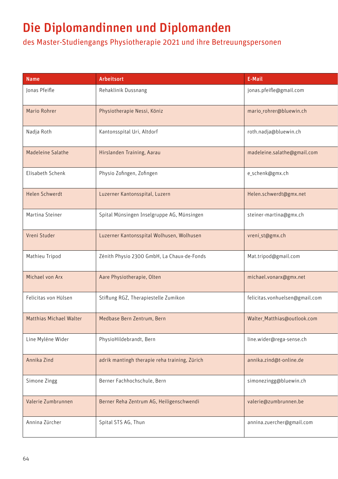## Die Diplomandinnen und Diplomanden

des Master-Studiengangs Physiotherapie 2021 und ihre Betreuungspersonen

| Name                    | Arbeitsort                                    | E-Mail                         |
|-------------------------|-----------------------------------------------|--------------------------------|
| Jonas Pfeifle           | Rehaklinik Dussnang                           | jonas.pfeifle@gmail.com        |
| Mario Rohrer            | Physiotherapie Nessi, Köniz                   | mario_rohrer@bluewin.ch        |
| Nadja Roth              | Kantonsspital Uri, Altdorf                    | roth.nadja@bluewin.ch          |
| Madeleine Salathe       | Hirslanden Training, Aarau                    | madeleine.salathe@gmail.com    |
| Elisabeth Schenk        | Physio Zofingen, Zofingen                     | e_schenk@gmx.ch                |
| Helen Schwerdt          | Luzerner Kantonsspital, Luzern                | Helen.schwerdt@gmx.net         |
| Martina Steiner         | Spital Münsingen Inselgruppe AG, Münsingen    | steiner-martina@gmx.ch         |
| Vreni Studer            | Luzerner Kantonsspital Wolhusen, Wolhusen     | vreni_st@gmx.ch                |
| Mathieu Tripod          | Zénith Physio 2300 GmbH, La Chaux-de-Fonds    | Mat.tripod@gmail.com           |
| Michael von Arx         | Aare Physiotherapie, Olten                    | michael.vonarx@gmx.net         |
| Felicitas von Hülsen    | Stiftung RGZ, Therapiestelle Zumikon          | felicitas.vonhuelsen@gmail.com |
| Matthias Michael Walter | Medbase Bern Zentrum, Bern                    | Walter_Matthias@outlook.com    |
| Line Myléne Wider       | PhysioHildebrandt, Bern                       | line.wider@rega-sense.ch       |
| Annika Zind             | adrik mantingh therapie reha training, Zürich | annika.zind@t-online.de        |
| Simone Zingg            | Berner Fachhochschule, Bern                   | simonezingg@bluewin.ch         |
| Valerie Zumbrunnen      | Berner Reha Zentrum AG, Heiligenschwendi      | valerie@zumbrunnen.be          |
| Annina Zürcher          | Spital STS AG, Thun                           | annina.zuercher@gmail.com      |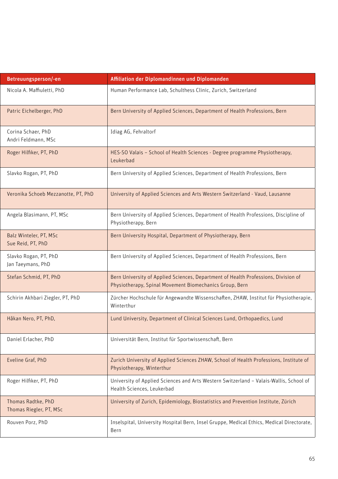| Betreuungsperson/-en                          | Affiliation der Diplomandinnen und Diplomanden                                                                                                |
|-----------------------------------------------|-----------------------------------------------------------------------------------------------------------------------------------------------|
| Nicola A. Maffiuletti, PhD                    | Human Performance Lab, Schulthess Clinic, Zurich, Switzerland                                                                                 |
| Patric Eichelberger, PhD                      | Bern University of Applied Sciences, Department of Health Professions, Bern                                                                   |
| Corina Schaer, PhD<br>Andri Feldmann, MSc     | Idiag AG, Fehraltorf                                                                                                                          |
| Roger Hilfiker, PT, PhD                       | HES-SO Valais - School of Health Sciences - Degree programme Physiotherapy,<br>Leukerbad                                                      |
| Slavko Rogan, PT, PhD                         | Bern University of Applied Sciences, Department of Health Professions, Bern                                                                   |
| Veronika Schoeb Mezzanotte, PT, PhD           | University of Applied Sciences and Arts Western Switzerland - Vaud, Lausanne                                                                  |
| Angela Blasimann, PT, MSc                     | Bern University of Applied Sciences, Department of Health Professions, Discipline of<br>Physiotherapy, Bern                                   |
| Balz Winteler, PT, MSc<br>Sue Reid, PT, PhD   | Bern University Hospital, Department of Physiotherapy, Bern                                                                                   |
| Slavko Rogan, PT, PhD<br>Jan Taeymans, PhD    | Bern University of Applied Sciences, Department of Health Professions, Bern                                                                   |
| Stefan Schmid, PT, PhD                        | Bern University of Applied Sciences, Department of Health Professions, Division of<br>Physiotherapy, Spinal Movement Biomechanics Group, Bern |
| Schirin Akhbari Ziegler, PT, PhD              | Zürcher Hochschule für Angewandte Wissenschaften, ZHAW, Institut für Physiotherapie,<br>Winterthur                                            |
| Håkan Nero, PT, PhD,                          | Lund University, Department of Clinical Sciences Lund, Orthopaedics, Lund                                                                     |
| Daniel Erlacher, PhD                          | Universität Bern, Institut für Sportwissenschaft, Bern                                                                                        |
| Eveline Graf, PhD                             | Zurich University of Applied Sciences ZHAW, School of Health Professions, Institute of<br>Physiotherapy, Winterthur                           |
| Roger Hilfiker, PT, PhD                       | University of Applied Sciences and Arts Western Switzerland - Valais-Wallis, School of<br>Health Sciences, Leukerbad                          |
| Thomas Radtke, PhD<br>Thomas Riegler, PT, MSc | University of Zurich, Epidemiology, Biostatistics and Prevention Institute, Zürich                                                            |
| Rouven Porz, PhD                              | Inselspital, University Hospital Bern, Insel Gruppe, Medical Ethics, Medical Directorate,<br>Bern                                             |